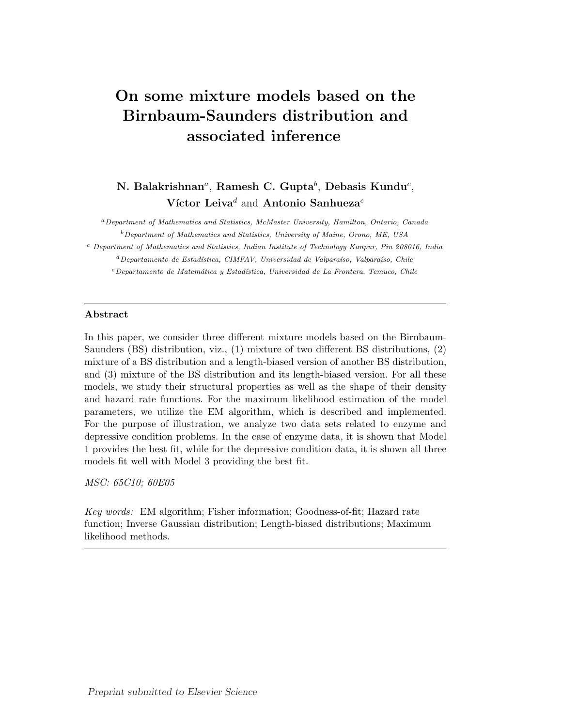# On some mixture models based on the Birnbaum-Saunders distribution and associated inference

# N. Balakrishnan<sup>a</sup>, Ramesh C. Gupta<sup>b</sup>, Debasis Kundu<sup>c</sup>, Víctor Leiva<sup>d</sup> and Antonio Sanhueza<sup>e</sup>

<sup>a</sup>Department of Mathematics and Statistics, McMaster University, Hamilton, Ontario, Canada  $b$  Department of Mathematics and Statistics, University of Maine, Orono, ME, USA

<sup>c</sup> Department of Mathematics and Statistics, Indian Institute of Technology Kanpur, Pin 208016, India  ${}^{d}$ Departamento de Estadística, CIMFAV, Universidad de Valparaíso, Valparaíso, Chile  $e$ Departamento de Matemática y Estadística, Universidad de La Frontera, Temuco, Chile

#### Abstract

In this paper, we consider three different mixture models based on the Birnbaum-Saunders (BS) distribution, viz., (1) mixture of two different BS distributions, (2) mixture of a BS distribution and a length-biased version of another BS distribution, and (3) mixture of the BS distribution and its length-biased version. For all these models, we study their structural properties as well as the shape of their density and hazard rate functions. For the maximum likelihood estimation of the model parameters, we utilize the EM algorithm, which is described and implemented. For the purpose of illustration, we analyze two data sets related to enzyme and depressive condition problems. In the case of enzyme data, it is shown that Model 1 provides the best fit, while for the depressive condition data, it is shown all three models fit well with Model 3 providing the best fit.

MSC: 65C10; 60E05

Key words: EM algorithm; Fisher information; Goodness-of-fit; Hazard rate function; Inverse Gaussian distribution; Length-biased distributions; Maximum likelihood methods.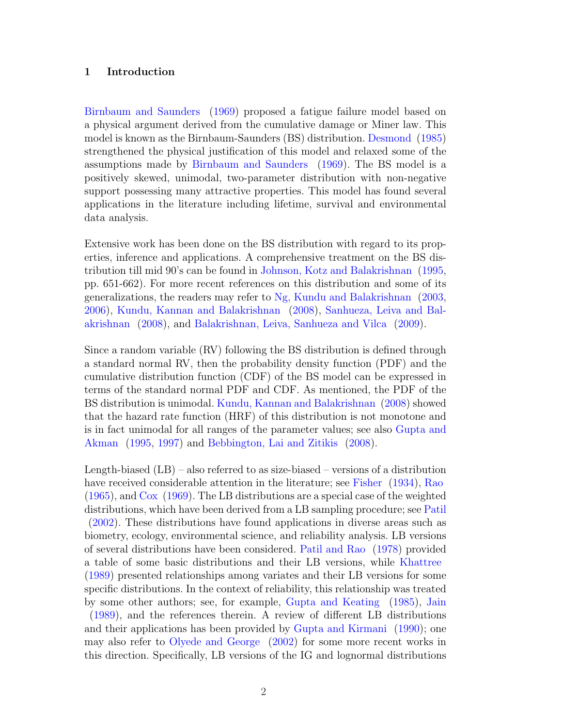# 1 Introduction

Birnbaum and Saunders (1969) proposed a fatigue failure model based on a physical argument derived from the cumulative damage or Miner law. This model is known as the Birnbaum-Saunders (BS) distribution. Desmond (1985) strengthened the physical justification of this model and relaxed some of the assumptions made by Birnbaum and Saunders (1969). The BS model is a positively skewed, unimodal, two-parameter distribution with non-negative support possessing many attractive properties. This model has found several applications in the literature including lifetime, survival and environmental data analysis.

Extensive work has been done on the BS distribution with regard to its properties, inference and applications. A comprehensive treatment on the BS distribution till mid 90's can be found in Johnson, Kotz and Balakrishnan (1995, pp. 651-662). For more recent references on this distribution and some of its generalizations, the readers may refer to Ng, Kundu and Balakrishnan (2003, 2006), Kundu, Kannan and Balakrishnan (2008), Sanhueza, Leiva and Balakrishnan (2008), and Balakrishnan, Leiva, Sanhueza and Vilca (2009).

Since a random variable (RV) following the BS distribution is defined through a standard normal RV, then the probability density function (PDF) and the cumulative distribution function (CDF) of the BS model can be expressed in terms of the standard normal PDF and CDF. As mentioned, the PDF of the BS distribution is unimodal. Kundu, Kannan and Balakrishnan (2008) showed that the hazard rate function (HRF) of this distribution is not monotone and is in fact unimodal for all ranges of the parameter values; see also Gupta and Akman (1995, 1997) and Bebbington, Lai and Zitikis (2008).

Length-biased (LB) – also referred to as size-biased – versions of a distribution have received considerable attention in the literature; see Fisher (1934), Rao (1965), and Cox (1969). The LB distributions are a special case of the weighted distributions, which have been derived from a LB sampling procedure; see Patil (2002). These distributions have found applications in diverse areas such as biometry, ecology, environmental science, and reliability analysis. LB versions of several distributions have been considered. Patil and Rao (1978) provided a table of some basic distributions and their LB versions, while Khattree (1989) presented relationships among variates and their LB versions for some specific distributions. In the context of reliability, this relationship was treated by some other authors; see, for example, Gupta and Keating (1985), Jain (1989), and the references therein. A review of different LB distributions and their applications has been provided by Gupta and Kirmani (1990); one may also refer to Olyede and George (2002) for some more recent works in this direction. Specifically, LB versions of the IG and lognormal distributions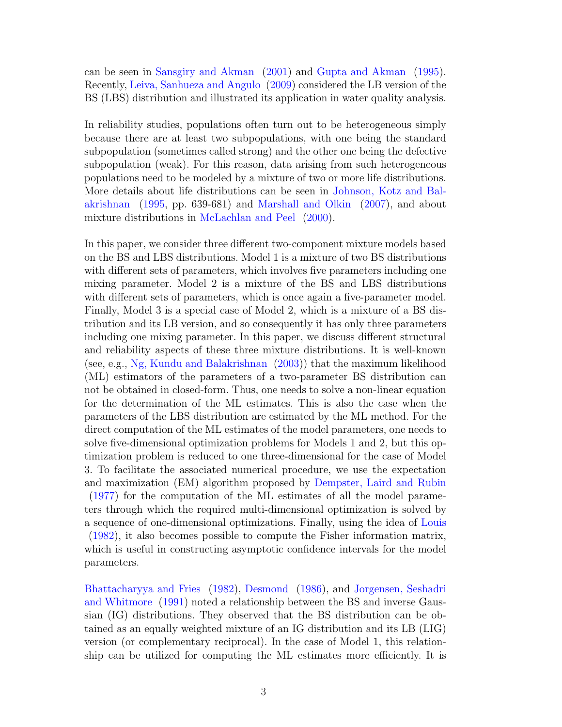can be seen in Sansgiry and Akman (2001) and Gupta and Akman (1995). Recently, Leiva, Sanhueza and Angulo (2009) considered the LB version of the BS (LBS) distribution and illustrated its application in water quality analysis.

In reliability studies, populations often turn out to be heterogeneous simply because there are at least two subpopulations, with one being the standard subpopulation (sometimes called strong) and the other one being the defective subpopulation (weak). For this reason, data arising from such heterogeneous populations need to be modeled by a mixture of two or more life distributions. More details about life distributions can be seen in Johnson, Kotz and Balakrishnan (1995, pp. 639-681) and Marshall and Olkin (2007), and about mixture distributions in McLachlan and Peel (2000).

In this paper, we consider three different two-component mixture models based on the BS and LBS distributions. Model 1 is a mixture of two BS distributions with different sets of parameters, which involves five parameters including one mixing parameter. Model 2 is a mixture of the BS and LBS distributions with different sets of parameters, which is once again a five-parameter model. Finally, Model 3 is a special case of Model 2, which is a mixture of a BS distribution and its LB version, and so consequently it has only three parameters including one mixing parameter. In this paper, we discuss different structural and reliability aspects of these three mixture distributions. It is well-known (see, e.g., Ng, Kundu and Balakrishnan (2003)) that the maximum likelihood (ML) estimators of the parameters of a two-parameter BS distribution can not be obtained in closed-form. Thus, one needs to solve a non-linear equation for the determination of the ML estimates. This is also the case when the parameters of the LBS distribution are estimated by the ML method. For the direct computation of the ML estimates of the model parameters, one needs to solve five-dimensional optimization problems for Models 1 and 2, but this optimization problem is reduced to one three-dimensional for the case of Model 3. To facilitate the associated numerical procedure, we use the expectation and maximization (EM) algorithm proposed by Dempster, Laird and Rubin (1977) for the computation of the ML estimates of all the model parameters through which the required multi-dimensional optimization is solved by a sequence of one-dimensional optimizations. Finally, using the idea of Louis (1982), it also becomes possible to compute the Fisher information matrix, which is useful in constructing asymptotic confidence intervals for the model parameters.

Bhattacharyya and Fries (1982), Desmond (1986), and Jorgensen, Seshadri and Whitmore (1991) noted a relationship between the BS and inverse Gaussian (IG) distributions. They observed that the BS distribution can be obtained as an equally weighted mixture of an IG distribution and its LB (LIG) version (or complementary reciprocal). In the case of Model 1, this relationship can be utilized for computing the ML estimates more efficiently. It is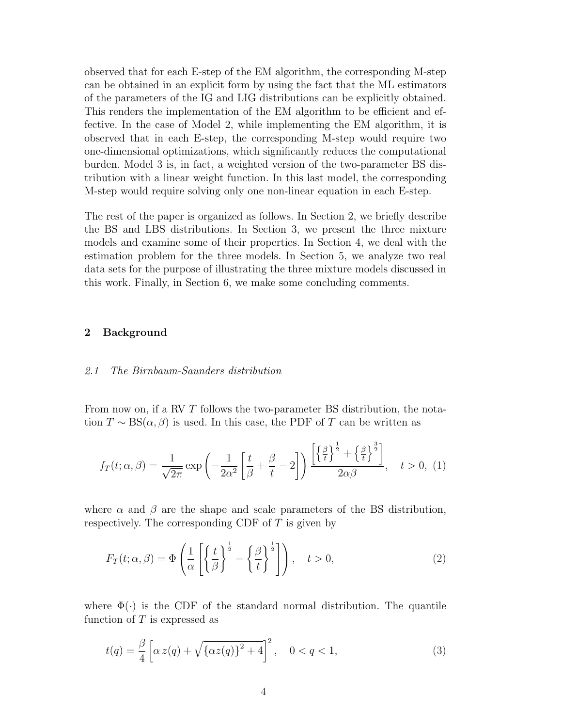observed that for each E-step of the EM algorithm, the corresponding M-step can be obtained in an explicit form by using the fact that the ML estimators of the parameters of the IG and LIG distributions can be explicitly obtained. This renders the implementation of the EM algorithm to be efficient and effective. In the case of Model 2, while implementing the EM algorithm, it is observed that in each E-step, the corresponding M-step would require two one-dimensional optimizations, which significantly reduces the computational burden. Model 3 is, in fact, a weighted version of the two-parameter BS distribution with a linear weight function. In this last model, the corresponding M-step would require solving only one non-linear equation in each E-step.

The rest of the paper is organized as follows. In Section 2, we briefly describe the BS and LBS distributions. In Section 3, we present the three mixture models and examine some of their properties. In Section 4, we deal with the estimation problem for the three models. In Section 5, we analyze two real data sets for the purpose of illustrating the three mixture models discussed in this work. Finally, in Section 6, we make some concluding comments.

# 2 Background

## 2.1 The Birnbaum-Saunders distribution

From now on, if a RV T follows the two-parameter BS distribution, the notation  $T \sim BS(\alpha, \beta)$  is used. In this case, the PDF of T can be written as

$$
f_T(t; \alpha, \beta) = \frac{1}{\sqrt{2\pi}} \exp\left(-\frac{1}{2\alpha^2} \left[\frac{t}{\beta} + \frac{\beta}{t} - 2\right]\right) \frac{\left[\left\{\frac{\beta}{t}\right\}^{\frac{1}{2}} + \left\{\frac{\beta}{t}\right\}^{\frac{3}{2}}\right]}{2\alpha\beta}, \quad t > 0, (1)
$$

where  $\alpha$  and  $\beta$  are the shape and scale parameters of the BS distribution, respectively. The corresponding CDF of T is given by

$$
F_T(t; \alpha, \beta) = \Phi\left(\frac{1}{\alpha} \left[ \left\{ \frac{t}{\beta} \right\}^{\frac{1}{2}} - \left\{ \frac{\beta}{t} \right\}^{\frac{1}{2}} \right] \right), \quad t > 0,
$$
\n(2)

where  $\Phi(\cdot)$  is the CDF of the standard normal distribution. The quantile function of  $T$  is expressed as

$$
t(q) = \frac{\beta}{4} \left[ \alpha z(q) + \sqrt{\{\alpha z(q)\}^2 + 4} \right]^2, \quad 0 < q < 1,\tag{3}
$$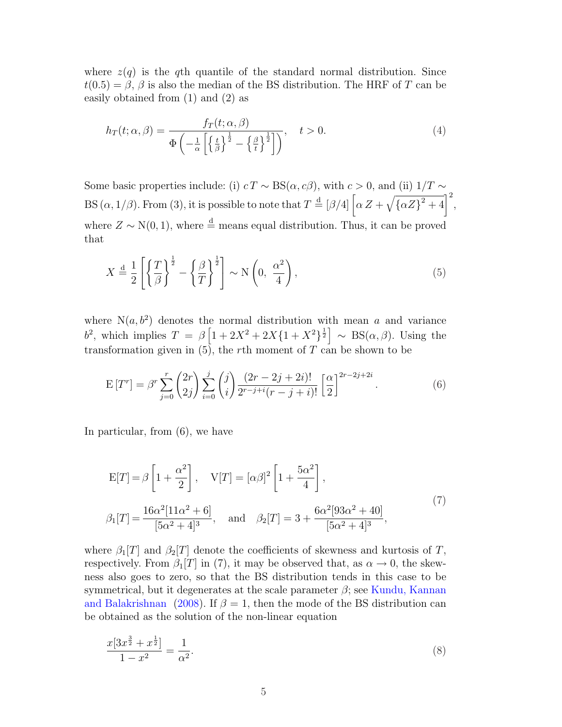where  $z(q)$  is the qth quantile of the standard normal distribution. Since  $t(0.5) = \beta$ ,  $\beta$  is also the median of the BS distribution. The HRF of T can be easily obtained from (1) and (2) as

$$
h_T(t; \alpha, \beta) = \frac{f_T(t; \alpha, \beta)}{\Phi\left(-\frac{1}{\alpha}\left[\left\{\frac{t}{\beta}\right\}^{\frac{1}{2}} - \left\{\frac{\beta}{t}\right\}^{\frac{1}{2}}\right]\right)}, \quad t > 0.
$$
\n(4)

Some basic properties include: (i)  $c T \sim BS(\alpha, c\beta)$ , with  $c > 0$ , and (ii)  $1/T \sim$ BS  $(\alpha, 1/\beta)$ . From (3), it is possible to note that  $T \stackrel{\text{d}}{=} [\beta/4] \left[ \alpha Z + \beta Z + \beta Z + \beta Z + \gamma Z \right]$  $\tilde{\phantom{a}}$  $\left[\frac{(\mu)^2}{4\alpha Z^2+4}\right]^2$ , where  $Z \sim N(0, 1)$ , where  $\stackrel{d}{=}$  means equal distribution. Thus, it can be proved that

$$
X \stackrel{\text{d}}{=} \frac{1}{2} \left[ \left\{ \frac{T}{\beta} \right\}^{\frac{1}{2}} - \left\{ \frac{\beta}{T} \right\}^{\frac{1}{2}} \right] \sim \mathcal{N} \left( 0, \frac{\alpha^2}{4} \right),\tag{5}
$$

where  $N(a, b^2)$  denotes the normal distribution with mean a and variance b<sup>2</sup>, which implies  $T = \beta \left[1 + 2X^2 + 2X\{1 + X^2\}^{\frac{1}{2}}\right] \sim BS(\alpha, \beta)$ . Using the transformation given in  $(5)$ , the rth moment of T can be shown to be

$$
\mathcal{E}\left[T^{r}\right] = \beta^{r} \sum_{j=0}^{r} {2r \choose 2j} \sum_{i=0}^{j} {j \choose i} \frac{(2r-2j+2i)!}{2^{r-j+i}(r-j+i)!} \left[\frac{\alpha}{2}\right]^{2r-2j+2i}.
$$
 (6)

In particular, from (6), we have

$$
E[T] = \beta \left[ 1 + \frac{\alpha^2}{2} \right], \quad V[T] = [\alpha \beta]^2 \left[ 1 + \frac{5\alpha^2}{4} \right],
$$
  

$$
\beta_1[T] = \frac{16\alpha^2 [11\alpha^2 + 6]}{[5\alpha^2 + 4]^3}, \quad \text{and} \quad \beta_2[T] = 3 + \frac{6\alpha^2 [93\alpha^2 + 40]}{[5\alpha^2 + 4]^3},
$$
 (7)

where  $\beta_1[T]$  and  $\beta_2[T]$  denote the coefficients of skewness and kurtosis of T, respectively. From  $\beta_1[T]$  in (7), it may be observed that, as  $\alpha \to 0$ , the skewness also goes to zero, so that the BS distribution tends in this case to be symmetrical, but it degenerates at the scale parameter  $\beta$ ; see Kundu, Kannan and Balakrishnan (2008). If  $\beta = 1$ , then the mode of the BS distribution can be obtained as the solution of the non-linear equation

$$
\frac{x[3x^{\frac{3}{2}} + x^{\frac{1}{2}}]}{1 - x^2} = \frac{1}{\alpha^2}.\tag{8}
$$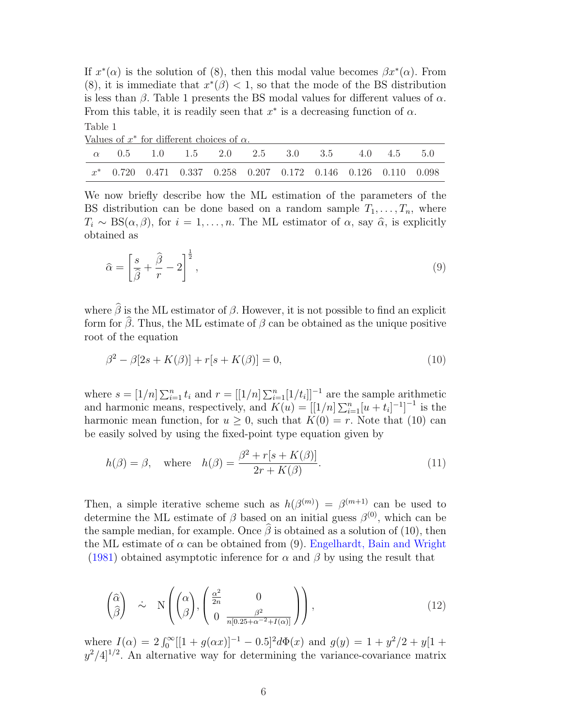If  $x^*(\alpha)$  is the solution of (8), then this modal value becomes  $\beta x^*(\alpha)$ . From (8), it is immediate that  $x^*(\beta) < 1$ , so that the mode of the BS distribution is less than  $\beta$ . Table 1 presents the BS modal values for different values of  $\alpha$ . From this table, it is readily seen that  $x^*$  is a decreasing function of  $\alpha$ . Table 1

| Values of $x^*$ for different choices of $\alpha$ . |  |  |  |                                                                   |  |  |  |  |  |  |  |  |
|-----------------------------------------------------|--|--|--|-------------------------------------------------------------------|--|--|--|--|--|--|--|--|
|                                                     |  |  |  | $\alpha$ 0.5 1.0 1.5 2.0 2.5 3.0 3.5 4.0 4.5 5.0                  |  |  |  |  |  |  |  |  |
|                                                     |  |  |  | $x^*$ 0.720 0.471 0.337 0.258 0.207 0.172 0.146 0.126 0.110 0.098 |  |  |  |  |  |  |  |  |

We now briefly describe how the ML estimation of the parameters of the BS distribution can be done based on a random sample  $T_1, \ldots, T_n$ , where  $T_i \sim \text{BS}(\alpha, \beta)$ , for  $i = 1, \ldots, n$ . The ML estimator of  $\alpha$ , say  $\hat{\alpha}$ , is explicitly obtained as

$$
\widehat{\alpha} = \left[\frac{s}{\widehat{\beta}} + \frac{\widehat{\beta}}{r} - 2\right]^{\frac{1}{2}},\tag{9}
$$

where  $\hat{\beta}$  is the ML estimator of  $\beta$ . However, it is not possible to find an explicit form for  $\hat{\beta}$ . Thus, the ML estimate of  $\beta$  can be obtained as the unique positive root of the equation

$$
\beta^2 - \beta[2s + K(\beta)] + r[s + K(\beta)] = 0,\tag{10}
$$

where  $s = [1/n] \sum_{i=1}^n t_i$  and  $r = [[1/n] \sum_{i=1}^n [1/t_i]]^{-1}$  are the sample arithmetic and harmonic means, respectively, and  $K(u) = [[1/n] \sum_{i=1}^{n} [u + t_i]^{-1}]^{-1}$  is the harmonic mean function, for  $u \geq 0$ , such that  $K(0) = r$ . Note that (10) can be easily solved by using the fixed-point type equation given by

$$
h(\beta) = \beta, \quad \text{where} \quad h(\beta) = \frac{\beta^2 + r[s + K(\beta)]}{2r + K(\beta)}.
$$
\n
$$
(11)
$$

Then, a simple iterative scheme such as  $h(\beta^{(m)}) = \beta^{(m+1)}$  can be used to determine the ML estimate of  $\beta$  based on an initial guess  $\beta^{(0)}$ , which can be the sample median, for example. Once  $\hat{\beta}$  is obtained as a solution of (10), then the ML estimate of  $\alpha$  can be obtained from (9). Engelhardt, Bain and Wright (1981) obtained asymptotic inference for  $\alpha$  and  $\beta$  by using the result that

$$
\begin{pmatrix}\n\widehat{\alpha} \\
\widehat{\beta}\n\end{pmatrix}\n\quad \sim \quad N \left( \begin{pmatrix}\n\alpha \\
\beta\n\end{pmatrix}, \begin{pmatrix}\n\frac{\alpha^2}{2n} & 0 \\
0 & \frac{\beta^2}{n[0.25 + \alpha^{-2} + I(\alpha)]}\n\end{pmatrix} \right),
$$
\n(12)

where  $I(\alpha) = 2 \int_0^{\infty} [[1 + g(\alpha x)]^{-1} - 0.5]^2 d\Phi(x)$  and  $g(y) = 1 + y^2/2 + y[1 +$  $y^2/4$ <sup>[1/2</sup>]. An alternative way for determining the variance-covariance matrix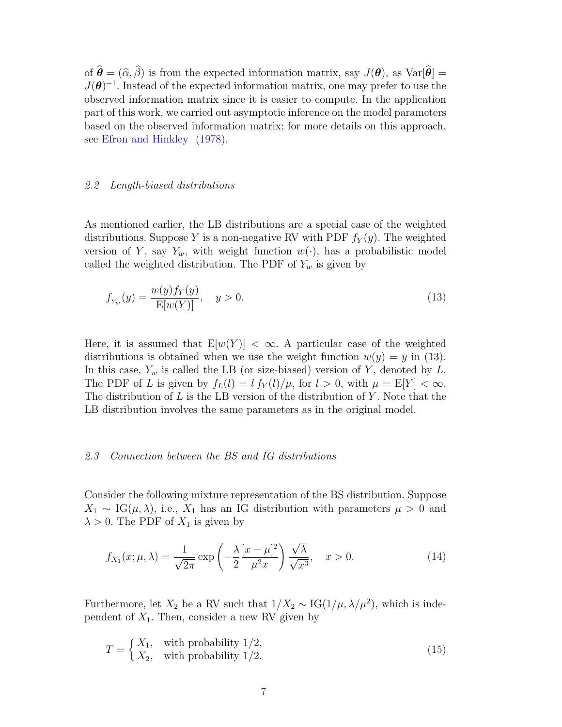of  $\hat{\boldsymbol{\theta}} = (\hat{\alpha}, \hat{\beta})$  is from the expected information matrix, say  $J(\boldsymbol{\theta})$ , as  $Var[\hat{\boldsymbol{\theta}}] =$  $J(\theta)^{-1}$ . Instead of the expected information matrix, one may prefer to use the observed information matrix since it is easier to compute. In the application part of this work, we carried out asymptotic inference on the model parameters based on the observed information matrix; for more details on this approach, see Efron and Hinkley (1978).

#### 2.2 Length-biased distributions

As mentioned earlier, the LB distributions are a special case of the weighted distributions. Suppose Y is a non-negative RV with PDF  $f_Y(y)$ . The weighted version of Y, say  $Y_w$ , with weight function  $w(\cdot)$ , has a probabilistic model called the weighted distribution. The PDF of  $Y_w$  is given by

$$
f_{Y_w}(y) = \frac{w(y)f_Y(y)}{\mathbb{E}[w(Y)]}, \quad y > 0.
$$
\n(13)

Here, it is assumed that  $E[w(Y)] < \infty$ . A particular case of the weighted distributions is obtained when we use the weight function  $w(y) = y$  in (13). In this case,  $Y_w$  is called the LB (or size-biased) version of Y, denoted by L. The PDF of L is given by  $f_L(l) = l f_Y(l)/\mu$ , for  $l > 0$ , with  $\mu = E[Y] < \infty$ . The distribution of L is the LB version of the distribution of Y. Note that the LB distribution involves the same parameters as in the original model.

# 2.3 Connection between the BS and IG distributions

Consider the following mixture representation of the BS distribution. Suppose  $X_1 \sim \text{IG}(\mu, \lambda)$ , i.e.,  $X_1$  has an IG distribution with parameters  $\mu > 0$  and  $\lambda > 0$ . The PDF of  $X_1$  is given by

$$
f_{X_1}(x; \mu, \lambda) = \frac{1}{\sqrt{2\pi}} \exp\left(-\frac{\lambda}{2} \frac{[x-\mu]^2}{\mu^2 x}\right) \frac{\sqrt{\lambda}}{\sqrt{x^3}}, \quad x > 0.
$$
 (14)

Furthermore, let  $X_2$  be a RV such that  $1/X_2 \sim IG(1/\mu, \lambda/\mu^2)$ , which is independent of  $X_1$ . Then, consider a new RV given by

$$
T = \begin{cases} X_1, & \text{with probability } 1/2, \\ X_2, & \text{with probability } 1/2. \end{cases}
$$
 (15)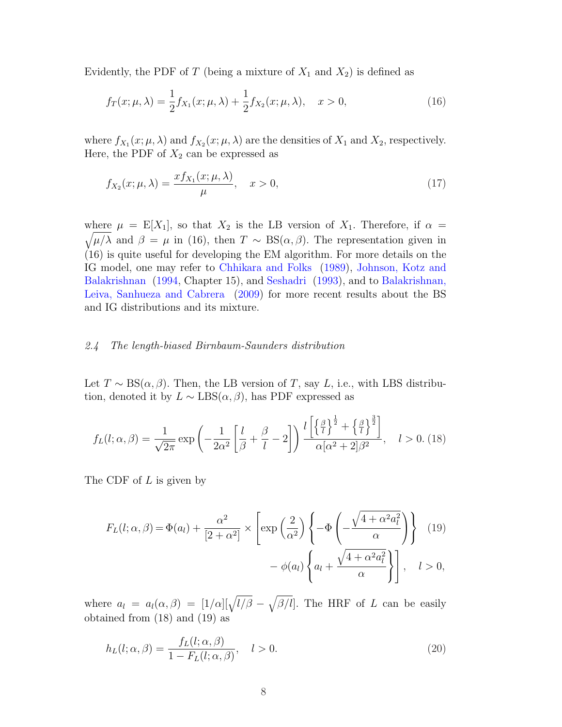Evidently, the PDF of T (being a mixture of  $X_1$  and  $X_2$ ) is defined as

$$
f_T(x; \mu, \lambda) = \frac{1}{2} f_{X_1}(x; \mu, \lambda) + \frac{1}{2} f_{X_2}(x; \mu, \lambda), \quad x > 0,
$$
 (16)

where  $f_{X_1}(x; \mu, \lambda)$  and  $f_{X_2}(x; \mu, \lambda)$  are the densities of  $X_1$  and  $X_2$ , respectively. Here, the PDF of  $X_2$  can be expressed as

$$
f_{X_2}(x;\mu,\lambda) = \frac{x f_{X_1}(x;\mu,\lambda)}{\mu}, \quad x > 0,
$$
\n(17)

where  $\mu = \mathbb{E}[X_1]$ , so that  $X_2$  is the LB version of  $X_1$ . Therefore, if  $\alpha =$  $\sqrt{\mu/\lambda}$  and  $\beta = \mu$  in (16), then  $T \sim BS(\alpha, \beta)$ . The representation given in (16) is quite useful for developing the EM algorithm. For more details on the IG model, one may refer to Chhikara and Folks (1989), Johnson, Kotz and Balakrishnan (1994, Chapter 15), and Seshadri (1993), and to Balakrishnan, Leiva, Sanhueza and Cabrera (2009) for more recent results about the BS and IG distributions and its mixture.

#### 2.4 The length-biased Birnbaum-Saunders distribution

Let  $T \sim BS(\alpha, \beta)$ . Then, the LB version of T, say L, i.e., with LBS distribution, denoted it by  $L \sim \text{LBS}(\alpha, \beta)$ , has PDF expressed as

$$
f_L(l; \alpha, \beta) = \frac{1}{\sqrt{2\pi}} \exp\left(-\frac{1}{2\alpha^2} \left[\frac{l}{\beta} + \frac{\beta}{l} - 2\right]\right) \frac{l\left[\left\{\frac{\beta}{l}\right\}^{\frac{1}{2}} + \left\{\frac{\beta}{l}\right\}^{\frac{3}{2}}\right]}{\alpha[\alpha^2 + 2]\beta^2}, \quad l > 0. \tag{18}
$$

The CDF of L is given by

$$
F_L(l; \alpha, \beta) = \Phi(a_l) + \frac{\alpha^2}{[2 + \alpha^2]} \times \left[ \exp\left(\frac{2}{\alpha^2}\right) \left\{-\Phi\left(-\frac{\sqrt{4 + \alpha^2 a_l^2}}{\alpha}\right)\right\} \right] \quad (19)
$$

$$
- \phi(a_l) \left\{a_l + \frac{\sqrt{4 + \alpha^2 a_l^2}}{\alpha}\right\} \right], \quad l > 0,
$$

where  $a_l = a_l(\alpha, \beta) = [1/\alpha][\sqrt{l/\beta} \mathcal{L}$  $\beta/l$ . The HRF of L can be easily obtained from (18) and (19) as

$$
h_L(l; \alpha, \beta) = \frac{f_L(l; \alpha, \beta)}{1 - F_L(l; \alpha, \beta)}, \quad l > 0.
$$
\n(20)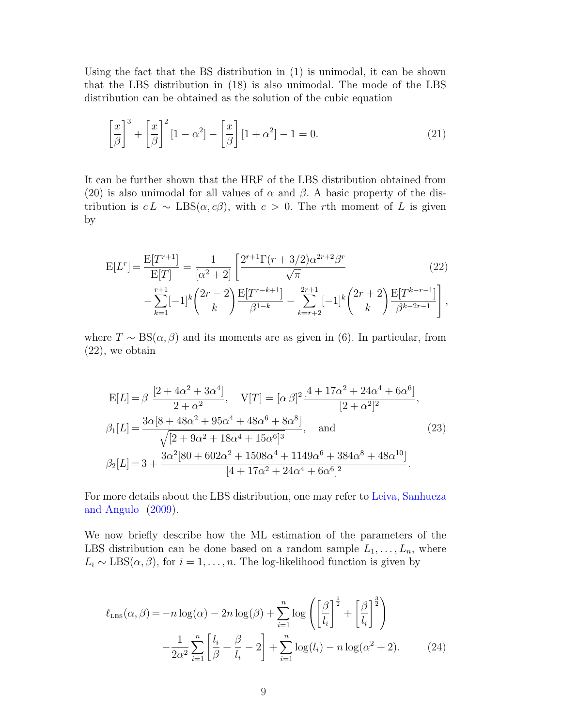Using the fact that the BS distribution in (1) is unimodal, it can be shown that the LBS distribution in (18) is also unimodal. The mode of the LBS distribution can be obtained as the solution of the cubic equation

$$
\left[\frac{x}{\beta}\right]^3 + \left[\frac{x}{\beta}\right]^2 \left[1 - \alpha^2\right] - \left[\frac{x}{\beta}\right] \left[1 + \alpha^2\right] - 1 = 0.
$$
\n(21)

It can be further shown that the HRF of the LBS distribution obtained from (20) is also unimodal for all values of  $\alpha$  and  $\beta$ . A basic property of the distribution is  $c L \sim \text{LBS}(\alpha, c\beta)$ , with  $c > 0$ . The rth moment of L is given by

$$
E[L^r] = \frac{E[T^{r+1}]}{E[T]} = \frac{1}{[\alpha^2 + 2]} \left[ \frac{2^{r+1} \Gamma(r + 3/2) \alpha^{2r+2} \beta^r}{\sqrt{\pi}} - \sum_{k=1}^{r+1} [-1]^k {2r - 2 \choose k} \frac{E[T^{r-k+1}]}{\beta^{1-k}} - \sum_{k=r+2}^{2r+1} [-1]^k {2r + 2 \choose k} \frac{E[T^{k-r-1}]}{\beta^{k-2r-1}} \right],
$$
\n(22)

where  $T \sim BS(\alpha, \beta)$  and its moments are as given in (6). In particular, from (22), we obtain

$$
E[L] = \beta \frac{[2 + 4\alpha^2 + 3\alpha^4]}{2 + \alpha^2}, \quad V[T] = [\alpha \beta]^2 \frac{[4 + 17\alpha^2 + 24\alpha^4 + 6\alpha^6]}{[2 + \alpha^2]^2},
$$
  
\n
$$
\beta_1[L] = \frac{3\alpha[8 + 48\alpha^2 + 95\alpha^4 + 48\alpha^6 + 8\alpha^8]}{\sqrt{[2 + 9\alpha^2 + 18\alpha^4 + 15\alpha^6]^3}}, \quad \text{and} \quad (23)
$$
  
\n
$$
\beta_2[L] = 3 + \frac{3\alpha^2[80 + 602\alpha^2 + 1508\alpha^4 + 1149\alpha^6 + 384\alpha^8 + 48\alpha^{10}]}{[4 + 17\alpha^2 + 24\alpha^4 + 6\alpha^6]^2}.
$$

For more details about the LBS distribution, one may refer to Leiva, Sanhueza and Angulo (2009).

We now briefly describe how the ML estimation of the parameters of the LBS distribution can be done based on a random sample  $L_1, \ldots, L_n$ , where  $L_i \sim \text{LBS}(\alpha, \beta)$ , for  $i = 1, ..., n$ . The log-likelihood function is given by

$$
\ell_{\text{LBS}}(\alpha,\beta) = -n \log(\alpha) - 2n \log(\beta) + \sum_{i=1}^{n} \log \left( \left[ \frac{\beta}{l_i} \right]^{\frac{1}{2}} + \left[ \frac{\beta}{l_i} \right]^{\frac{3}{2}} \right)
$$

$$
- \frac{1}{2\alpha^2} \sum_{i=1}^{n} \left[ \frac{l_i}{\beta} + \frac{\beta}{l_i} - 2 \right] + \sum_{i=1}^{n} \log(l_i) - n \log(\alpha^2 + 2). \tag{24}
$$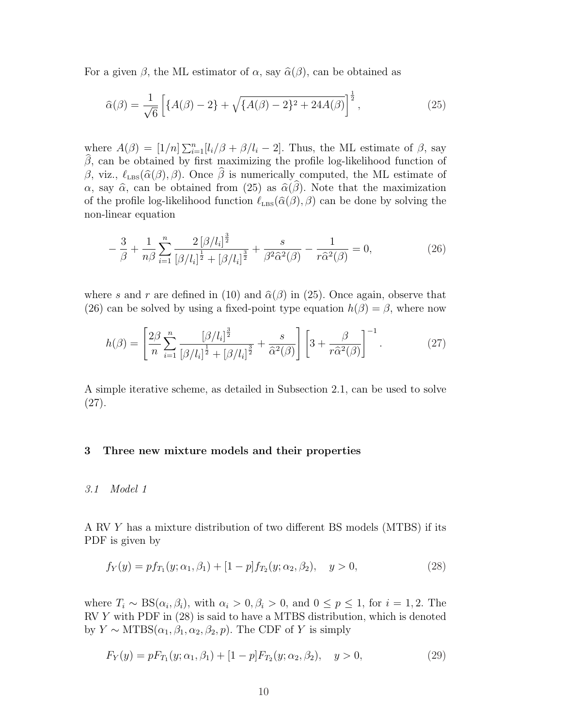For a given  $\beta$ , the ML estimator of  $\alpha$ , say  $\hat{\alpha}(\beta)$ , can be obtained as

$$
\widehat{\alpha}(\beta) = \frac{1}{\sqrt{6}} \left[ \{ A(\beta) - 2 \} + \sqrt{\{ A(\beta) - 2 \}^2 + 24A(\beta)} \right]^{\frac{1}{2}},\tag{25}
$$

where  $A(\beta) = [1/n] \sum_{i=1}^n [l_i/\beta + \beta/l_i - 2]$ . Thus, the ML estimate of  $\beta$ , say  $\hat{\beta}$ , can be obtained by first maximizing the profile log-likelihood function of β, viz.,  $\ell_{\text{LBS}}(\hat{\alpha}(\beta), \beta)$ . Once  $\hat{\beta}$  is numerically computed, the ML estimate of  $\alpha$ , say  $\hat{\alpha}$ , can be obtained from (25) as  $\hat{\alpha}(\hat{\beta})$ . Note that the maximization of the profile log-likelihood function  $\ell_{\text{LBS}}(\hat{\alpha}(\beta), \beta)$  can be done by solving the non-linear equation

$$
-\frac{3}{\beta} + \frac{1}{n\beta} \sum_{i=1}^{n} \frac{2\left[\beta/l_i\right]^{\frac{3}{2}}}{\left[\beta/l_i\right]^{\frac{1}{2}} + \left[\beta/l_i\right]^{\frac{3}{2}}} + \frac{s}{\beta^2 \hat{\alpha}^2(\beta)} - \frac{1}{r\hat{\alpha}^2(\beta)} = 0,
$$
\n(26)

where s and r are defined in (10) and  $\hat{\alpha}(\beta)$  in (25). Once again, observe that (26) can be solved by using a fixed-point type equation  $h(\beta) = \beta$ , where now

$$
h(\beta) = \left[\frac{2\beta}{n} \sum_{i=1}^{n} \frac{[\beta/l_i]^{\frac{3}{2}}}{[\beta/l_i]^{\frac{1}{2}} + [\beta/l_i]^{\frac{3}{2}}} + \frac{s}{\hat{\alpha}^2(\beta)}\right] \left[3 + \frac{\beta}{r\hat{\alpha}^2(\beta)}\right]^{-1}.
$$
 (27)

A simple iterative scheme, as detailed in Subsection 2.1, can be used to solve (27).

## 3 Three new mixture models and their properties

#### 3.1 Model 1

A RV Y has a mixture distribution of two different BS models (MTBS) if its PDF is given by

$$
f_Y(y) = pf_{T_1}(y; \alpha_1, \beta_1) + [1 - p]f_{T_2}(y; \alpha_2, \beta_2), \quad y > 0,
$$
\n(28)

where  $T_i \sim BS(\alpha_i, \beta_i)$ , with  $\alpha_i > 0, \beta_i > 0$ , and  $0 \le p \le 1$ , for  $i = 1, 2$ . The  $RVY$  with PDF in  $(28)$  is said to have a MTBS distribution, which is denoted by  $Y \sim \text{MTBS}(\alpha_1, \beta_1, \alpha_2, \beta_2, p)$ . The CDF of Y is simply

$$
F_Y(y) = pF_{T_1}(y; \alpha_1, \beta_1) + [1 - p]F_{T_2}(y; \alpha_2, \beta_2), \quad y > 0,
$$
\n(29)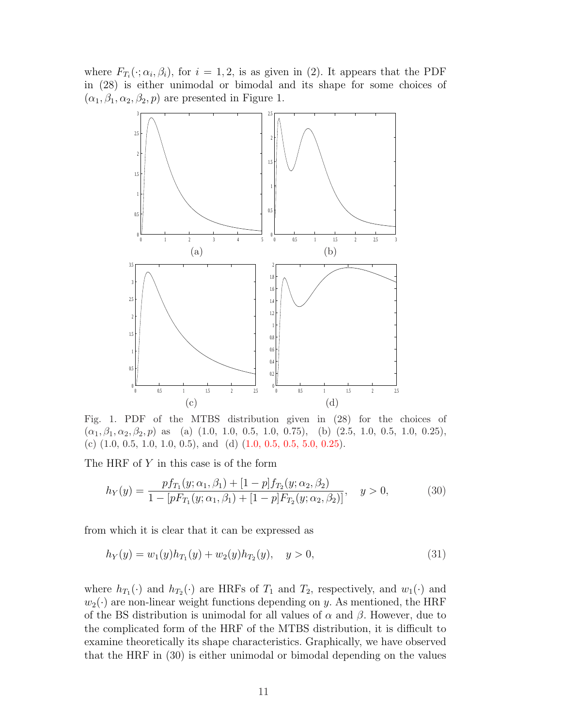where  $F_{T_i}(\cdot; \alpha_i, \beta_i)$ , for  $i = 1, 2$ , is as given in (2). It appears that the PDF in (28) is either unimodal or bimodal and its shape for some choices of  $(\alpha_1, \beta_1, \alpha_2, \beta_2, p)$  are presented in Figure 1.



Fig. 1. PDF of the MTBS distribution given in (28) for the choices of  $(\alpha_1, \beta_1, \alpha_2, \beta_2, p)$  as (a) (1.0, 1.0, 0.5, 1.0, 0.75), (b) (2.5, 1.0, 0.5, 1.0, 0.25), (c)  $(1.0, 0.5, 1.0, 1.0, 0.5)$ , and  $(d)$   $(1.0, 0.5, 0.5, 5.0, 0.25)$ .

The HRF of Y in this case is of the form

$$
h_Y(y) = \frac{pf_{T_1}(y; \alpha_1, \beta_1) + [1 - p]f_{T_2}(y; \alpha_2, \beta_2)}{1 - [pF_{T_1}(y; \alpha_1, \beta_1) + [1 - p]F_{T_2}(y; \alpha_2, \beta_2)]}, \quad y > 0,
$$
\n(30)

from which it is clear that it can be expressed as

$$
h_Y(y) = w_1(y)h_{T_1}(y) + w_2(y)h_{T_2}(y), \quad y > 0,
$$
\n(31)

where  $h_{T_1}(\cdot)$  and  $h_{T_2}(\cdot)$  are HRFs of  $T_1$  and  $T_2$ , respectively, and  $w_1(\cdot)$  and  $w_2(\cdot)$  are non-linear weight functions depending on y. As mentioned, the HRF of the BS distribution is unimodal for all values of  $\alpha$  and  $\beta$ . However, due to the complicated form of the HRF of the MTBS distribution, it is difficult to examine theoretically its shape characteristics. Graphically, we have observed that the HRF in (30) is either unimodal or bimodal depending on the values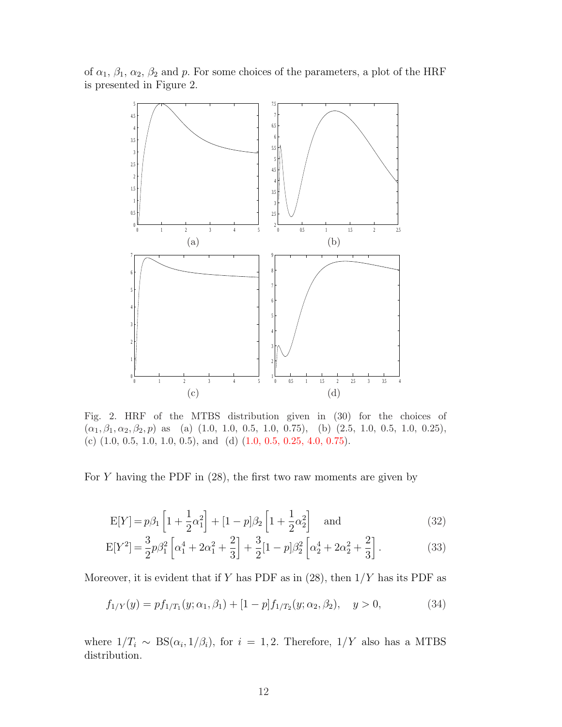of  $\alpha_1$ ,  $\beta_1$ ,  $\alpha_2$ ,  $\beta_2$  and p. For some choices of the parameters, a plot of the HRF is presented in Figure 2.



Fig. 2. HRF of the MTBS distribution given in (30) for the choices of  $(\alpha_1, \beta_1, \alpha_2, \beta_2, p)$  as (a) (1.0, 1.0, 0.5, 1.0, 0.75), (b) (2.5, 1.0, 0.5, 1.0, 0.25), (c)  $(1.0, 0.5, 1.0, 1.0, 0.5)$ , and  $(d)$   $(1.0, 0.5, 0.25, 4.0, 0.75)$ .

For  $Y$  having the PDF in  $(28)$ , the first two raw moments are given by

$$
E[Y] = p\beta_1 \left[ 1 + \frac{1}{2}\alpha_1^2 \right] + \left[ 1 - p\right]\beta_2 \left[ 1 + \frac{1}{2}\alpha_2^2 \right] \quad \text{and} \tag{32}
$$

$$
E[Y^2] = \frac{3}{2}p\beta_1^2 \left[ \alpha_1^4 + 2\alpha_1^2 + \frac{2}{3} \right] + \frac{3}{2} [1 - p]\beta_2^2 \left[ \alpha_2^4 + 2\alpha_2^2 + \frac{2}{3} \right].
$$
 (33)

Moreover, it is evident that if Y has PDF as in  $(28)$ , then  $1/Y$  has its PDF as

$$
f_{1/Y}(y) = pf_{1/T_1}(y; \alpha_1, \beta_1) + [1-p]f_{1/T_2}(y; \alpha_2, \beta_2), \quad y > 0,
$$
\n(34)

where  $1/T_i \sim BS(\alpha_i, 1/\beta_i)$ , for  $i = 1, 2$ . Therefore,  $1/Y$  also has a MTBS distribution.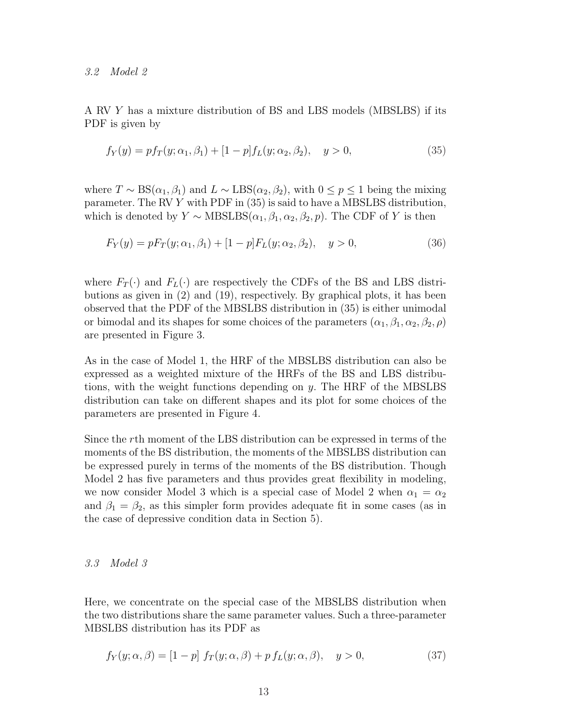3.2 Model 2

A RV Y has a mixture distribution of BS and LBS models (MBSLBS) if its PDF is given by

$$
f_Y(y) = pf_T(y; \alpha_1, \beta_1) + [1 - p]f_L(y; \alpha_2, \beta_2), \quad y > 0,
$$
\n(35)

where  $T \sim BS(\alpha_1, \beta_1)$  and  $L \sim LBS(\alpha_2, \beta_2)$ , with  $0 \leq p \leq 1$  being the mixing parameter. The RV Y with PDF in (35) is said to have a MBSLBS distribution, which is denoted by  $Y \sim \text{MBSLES}(\alpha_1, \beta_1, \alpha_2, \beta_2, p)$ . The CDF of Y is then

$$
F_Y(y) = pF_T(y; \alpha_1, \beta_1) + [1 - p]F_L(y; \alpha_2, \beta_2), \quad y > 0,
$$
\n(36)

where  $F_T(\cdot)$  and  $F_L(\cdot)$  are respectively the CDFs of the BS and LBS distributions as given in (2) and (19), respectively. By graphical plots, it has been observed that the PDF of the MBSLBS distribution in (35) is either unimodal or bimodal and its shapes for some choices of the parameters  $(\alpha_1, \beta_1, \alpha_2, \beta_2, \rho)$ are presented in Figure 3.

As in the case of Model 1, the HRF of the MBSLBS distribution can also be expressed as a weighted mixture of the HRFs of the BS and LBS distributions, with the weight functions depending on y. The HRF of the MBSLBS distribution can take on different shapes and its plot for some choices of the parameters are presented in Figure 4.

Since the rth moment of the LBS distribution can be expressed in terms of the moments of the BS distribution, the moments of the MBSLBS distribution can be expressed purely in terms of the moments of the BS distribution. Though Model 2 has five parameters and thus provides great flexibility in modeling, we now consider Model 3 which is a special case of Model 2 when  $\alpha_1 = \alpha_2$ and  $\beta_1 = \beta_2$ , as this simpler form provides adequate fit in some cases (as in the case of depressive condition data in Section 5).

## 3.3 Model 3

Here, we concentrate on the special case of the MBSLBS distribution when the two distributions share the same parameter values. Such a three-parameter MBSLBS distribution has its PDF as

$$
f_Y(y; \alpha, \beta) = [1 - p] f_T(y; \alpha, \beta) + p f_L(y; \alpha, \beta), \quad y > 0,
$$
\n(37)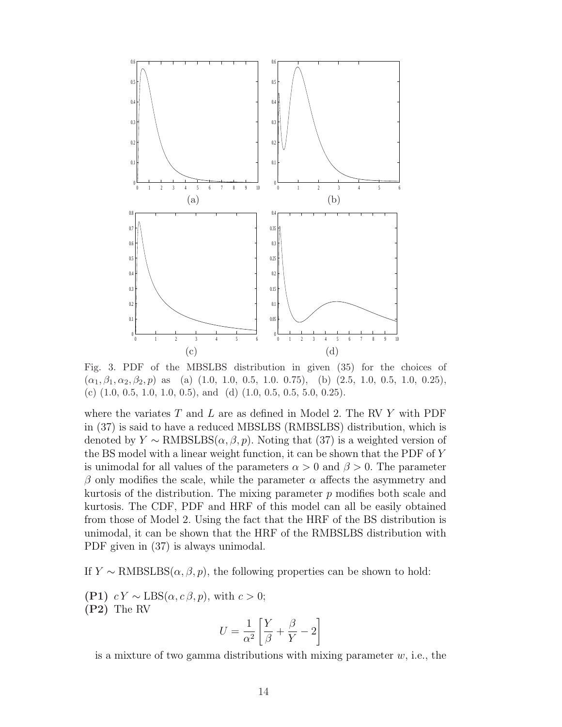

Fig. 3. PDF of the MBSLBS distribution in given (35) for the choices of  $(\alpha_1, \beta_1, \alpha_2, \beta_2, p)$  as (a) (1.0, 1.0, 0.5, 1.0, 0.75), (b) (2.5, 1.0, 0.5, 1.0, 0.25), (c)  $(1.0, 0.5, 1.0, 1.0, 0.5)$ , and  $(d)$   $(1.0, 0.5, 0.5, 5.0, 0.25)$ .

where the variates  $T$  and  $L$  are as defined in Model 2. The RV  $Y$  with PDF in (37) is said to have a reduced MBSLBS (RMBSLBS) distribution, which is denoted by  $Y \sim \text{RMBSLES}(\alpha, \beta, p)$ . Noting that (37) is a weighted version of the BS model with a linear weight function, it can be shown that the PDF of Y is unimodal for all values of the parameters  $\alpha > 0$  and  $\beta > 0$ . The parameter β only modifies the scale, while the parameter  $\alpha$  affects the asymmetry and kurtosis of the distribution. The mixing parameter p modifies both scale and kurtosis. The CDF, PDF and HRF of this model can all be easily obtained from those of Model 2. Using the fact that the HRF of the BS distribution is unimodal, it can be shown that the HRF of the RMBSLBS distribution with PDF given in (37) is always unimodal.

If  $Y \sim \text{RMBSLS}(\alpha, \beta, p)$ , the following properties can be shown to hold:

(P1)  $cY \sim \text{LBS}(\alpha, c\beta, p)$ , with  $c > 0$ ; (P2) The RV .<br> $^{\circ}$ 

$$
U = \frac{1}{\alpha^2} \left[ \frac{Y}{\beta} + \frac{\beta}{Y} - 2 \right]
$$

is a mixture of two gamma distributions with mixing parameter  $w$ , i.e., the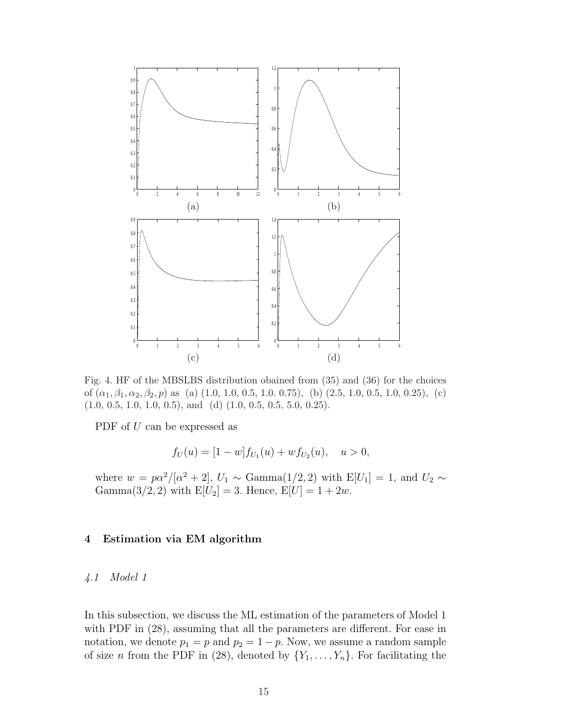

Fig. 4. HF of the MBSLBS distribution obained from (35) and (36) for the choices of  $(\alpha_1, \beta_1, \alpha_2, \beta_2, p)$  as (a)  $(1.0, 1.0, 0.5, 1.0, 0.75)$ , (b)  $(2.5, 1.0, 0.5, 1.0, 0.25)$ , (c)  $(1.0, 0.5, 1.0, 1.0, 0.5),$  and  $(d)$   $(1.0, 0.5, 0.5, 5.0, 0.25).$ 

PDF of U can be expressed as

$$
f_U(u) = [1 - w] f_{U_1}(u) + w f_{U_2}(u), \quad u > 0,
$$

where  $w = p\alpha^2/[\alpha^2 + 2]$ ,  $U_1 \sim \text{Gamma}(1/2, 2)$  with  $E[U_1] = 1$ , and  $U_2 \sim$ Gamma $(3/2, 2)$  with  $E[U_2] = 3$ . Hence,  $E[U] = 1 + 2w$ .

# 4 Estimation via EM algorithm

# 4.1 Model 1

In this subsection, we discuss the ML estimation of the parameters of Model 1 with PDF in (28), assuming that all the parameters are different. For ease in notation, we denote  $p_1 = p$  and  $p_2 = 1 - p$ . Now, we assume a random sample of size *n* from the PDF in (28), denoted by  $\{Y_1, \ldots, Y_n\}$ . For facilitating the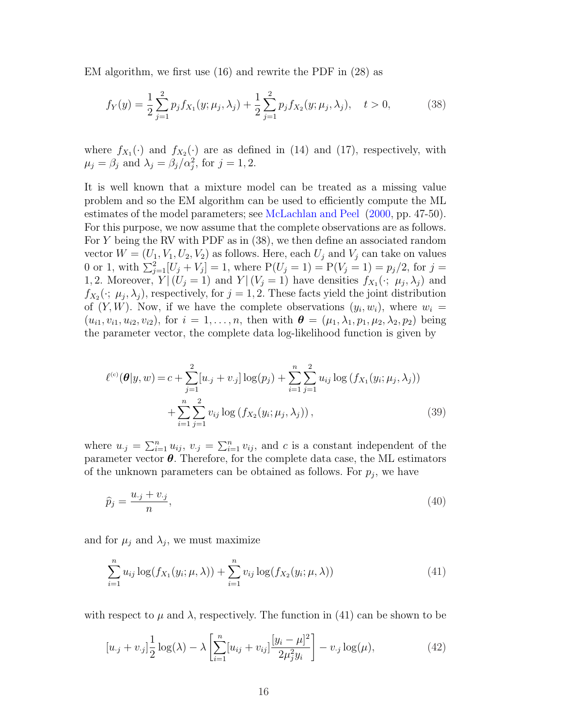EM algorithm, we first use (16) and rewrite the PDF in (28) as

$$
f_Y(y) = \frac{1}{2} \sum_{j=1}^2 p_j f_{X_1}(y; \mu_j, \lambda_j) + \frac{1}{2} \sum_{j=1}^2 p_j f_{X_2}(y; \mu_j, \lambda_j), \quad t > 0,
$$
 (38)

where  $f_{X_1}(\cdot)$  and  $f_{X_2}(\cdot)$  are as defined in (14) and (17), respectively, with  $\mu_j = \beta_j$  and  $\lambda_j = \beta_j/\alpha_j^2$ , for  $j = 1, 2$ .

It is well known that a mixture model can be treated as a missing value problem and so the EM algorithm can be used to efficiently compute the ML estimates of the model parameters; see McLachlan and Peel (2000, pp. 47-50). For this purpose, we now assume that the complete observations are as follows. For Y being the RV with PDF as in (38), we then define an associated random vector  $W = (U_1, V_1, U_2, V_2)$  as follows. Here, each  $U_j$  and  $V_j$  can take on values 0 or 1, with  $\sum_{j=1}^{2} [U_j + V_j] = 1$ , where  $P(U_j = 1) = P(V_j = 1) = p_j/2$ , for  $j =$ 1, 2. Moreover,  $Y|(U_j = 1)$  and  $Y|(V_j = 1)$  have densities  $f_{X_1}(\cdot; \mu_j, \lambda_j)$  and  $f_{X_2}(\cdot; \mu_j, \lambda_j)$ , respectively, for  $j = 1, 2$ . These facts yield the joint distribution of  $(Y, W)$ . Now, if we have the complete observations  $(y_i, w_i)$ , where  $w_i =$  $(u_{i1}, v_{i1}, u_{i2}, v_{i2}),$  for  $i = 1, ..., n$ , then with  $\boldsymbol{\theta} = (\mu_1, \lambda_1, p_1, \mu_2, \lambda_2, p_2)$  being the parameter vector, the complete data log-likelihood function is given by

$$
\ell^{(c)}(\boldsymbol{\theta}|y,w) = c + \sum_{j=1}^{2} [u_{\cdot j} + v_{\cdot j}] \log(p_j) + \sum_{i=1}^{n} \sum_{j=1}^{2} u_{ij} \log(f_{X_1}(y_i; \mu_j, \lambda_j)) + \sum_{i=1}^{n} \sum_{j=1}^{2} v_{ij} \log(f_{X_2}(y_i; \mu_j, \lambda_j)),
$$
\n(39)

where  $u_{\cdot j} = \sum_{i=1}^n u_{ij}, v_{\cdot j} = \sum_{i=1}^n v_{ij}$ , and c is a constant independent of the parameter vector  $\theta$ . Therefore, for the complete data case, the ML estimators of the unknown parameters can be obtained as follows. For  $p_j$ , we have

$$
\widehat{p}_j = \frac{u_{\cdot j} + v_{\cdot j}}{n},\tag{40}
$$

and for  $\mu_j$  and  $\lambda_j$ , we must maximize

$$
\sum_{i=1}^{n} u_{ij} \log(f_{X_1}(y_i; \mu, \lambda)) + \sum_{i=1}^{n} v_{ij} \log(f_{X_2}(y_i; \mu, \lambda))
$$
\n(41)

with respect to  $\mu$  and  $\lambda$ , respectively. The function in (41) can be shown to be

$$
[u_{\cdot j} + v_{\cdot j}] \frac{1}{2} \log(\lambda) - \lambda \left[ \sum_{i=1}^{n} [u_{ij} + v_{ij}] \frac{[y_i - \mu]^2}{2\mu_j^2 y_i} \right] - v_{\cdot j} \log(\mu), \tag{42}
$$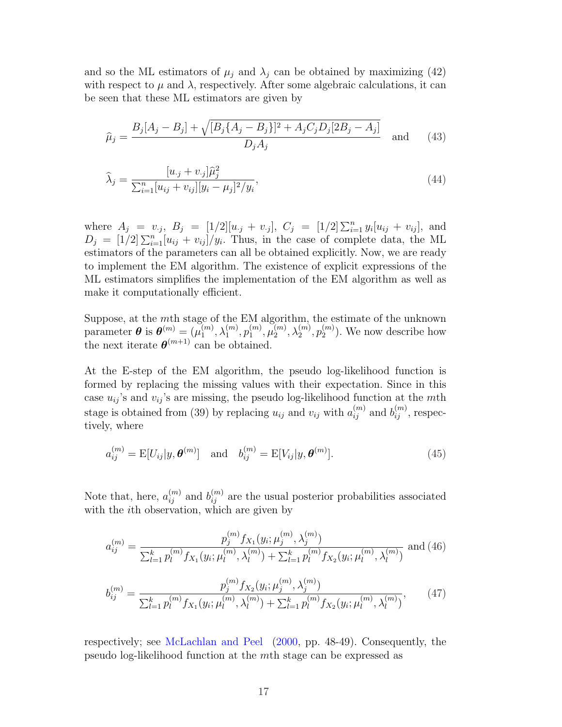and so the ML estimators of  $\mu_j$  and  $\lambda_j$  can be obtained by maximizing (42) with respect to  $\mu$  and  $\lambda$ , respectively. After some algebraic calculations, it can be seen that these ML estimators are given by

$$
\hat{\mu}_j = \frac{B_j[A_j - B_j] + \sqrt{[B_j\{A_j - B_j\}]^2 + A_jC_jD_j[2B_j - A_j]}}{D_jA_j} \quad \text{and} \quad (43)
$$

$$
\hat{\lambda}_j = \frac{[u_{\cdot j} + v_{\cdot j}]\hat{\mu}_j^2}{\sum_{i=1}^n [u_{ij} + v_{ij}][y_i - \mu_j]^2/y_i},\tag{44}
$$

where  $A_j = v_{.j}, B_j = [1/2][u_{.j} + v_{.j}], C_j = [1/2] \sum_{i=1}^n y_i[u_{ij} + v_{ij}],$  and  $D_j = [1/2] \sum_{i=1}^{n} [u_{ij} + v_{ij}]/y_i$ . Thus, in the case of complete data, the ML estimators of the parameters can all be obtained explicitly. Now, we are ready to implement the EM algorithm. The existence of explicit expressions of the ML estimators simplifies the implementation of the EM algorithm as well as make it computationally efficient.

Suppose, at the  $m$ th stage of the EM algorithm, the estimate of the unknown parameter  $\boldsymbol{\theta}$  is  $\boldsymbol{\theta}^{(m)} = (\mu_1^{(m)})$  $\lambda_1^{(m)},\lambda_1^{(m)},p_1^{(m)}$  $\mathfrak{m}_1^{(m)}, \mathfrak{\mu}_2^{(m)}$  $\lambda_2^{(m)},\lambda_2^{(m)},p_2^{(m)}$  $\binom{m}{2}$ . We now describe how the next iterate  $\boldsymbol{\theta}^{(m+1)}$  can be obtained.

At the E-step of the EM algorithm, the pseudo log-likelihood function is formed by replacing the missing values with their expectation. Since in this case  $u_{ij}$ 's and  $v_{ij}$ 's are missing, the pseudo log-likelihood function at the mth stage is obtained from (39) by replacing  $u_{ij}$  and  $v_{ij}$  with  $a_{ij}^{(m)}$  and  $b_{ij}^{(m)}$ , respectively, where

$$
a_{ij}^{(m)} = \mathbb{E}[U_{ij}|y, \boldsymbol{\theta}^{(m)}] \quad \text{and} \quad b_{ij}^{(m)} = \mathbb{E}[V_{ij}|y, \boldsymbol{\theta}^{(m)}]. \tag{45}
$$

Note that, here,  $a_{ij}^{(m)}$  and  $b_{ij}^{(m)}$  are the usual posterior probabilities associated with the ith observation, which are given by

$$
a_{ij}^{(m)} = \frac{p_j^{(m)} f_{X_1}(y_i; \mu_j^{(m)}, \lambda_j^{(m)})}{\sum_{l=1}^k p_l^{(m)} f_{X_1}(y_i; \mu_l^{(m)}, \lambda_l^{(m)}) + \sum_{l=1}^k p_l^{(m)} f_{X_2}(y_i; \mu_l^{(m)}, \lambda_l^{(m)})}
$$
 and (46)  

$$
p_j^{(m)} f_{X_2}(y_i; \mu_j^{(m)}, \lambda_j^{(m)})
$$
 (47)

$$
b_{ij}^{(m)} = \frac{p_j^j Y_{X_2}(y_i; \mu_j^j, \lambda_j^j)}{\sum_{l=1}^k p_l^{(m)} f_{X_1}(y_i; \mu_l^{(m)}, \lambda_l^{(m)}) + \sum_{l=1}^k p_l^{(m)} f_{X_2}(y_i; \mu_l^{(m)}, \lambda_l^{(m)})},\qquad(47)
$$

respectively; see McLachlan and Peel (2000, pp. 48-49). Consequently, the pseudo log-likelihood function at the mth stage can be expressed as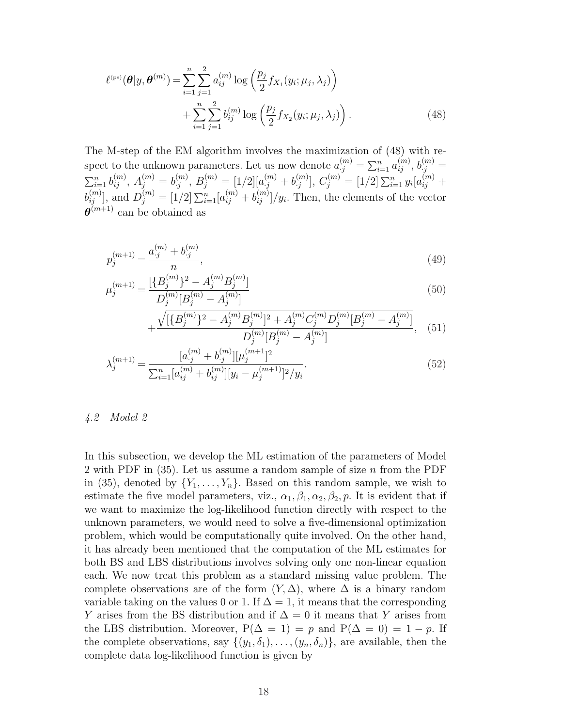$$
\ell^{(ps)}(\boldsymbol{\theta}|y, \boldsymbol{\theta}^{(m)}) = \sum_{i=1}^{n} \sum_{j=1}^{2} a_{ij}^{(m)} \log \left( \frac{p_j}{2} f_{X_1}(y_i; \mu_j, \lambda_j) \right) + \sum_{i=1}^{n} \sum_{j=1}^{2} b_{ij}^{(m)} \log \left( \frac{p_j}{2} f_{X_2}(y_i; \mu_j, \lambda_j) \right).
$$
(48)

The M-step of the EM algorithm involves the maximization of (48) with respect to the unknown parameters. Let us now denote  $a_{.j}^{(m)} = \sum_{i=1}^{n} a_{ij}^{(m)}$ ,  $b_{.j}^{(m)} =$  $\sum_{i=1}^n b_{ij}^{(m)}, A_j^{(m)} = b_{.j}^{(m)}$  $\lambda_j^{(m)}, B_j^{(m)} = [1/2][a_{\cdot j}^{(m)} + b_{\cdot j}^{(m)}]$  $\begin{bmatrix} 1 & 0 \end{bmatrix}$ ,  $C_j^{(m)} = [1/2] \sum_{i=1}^n y_i [a_{ij}^{(m)} +$  $\overline{b}_{ij}^{(m)}$ , and  $D_j^{(m)} = [1/2] \sum_{i=1}^n [a_{ij}^{(m)} + b_{ij}^{(m)}]/y_i$ . Then, the elements of the vector  $\boldsymbol{\theta}^{(m+1)}$  can be obtained as

$$
p_j^{(m+1)} = \frac{a_{\cdot j}^{(m)} + b_{\cdot j}^{(m)}}{n},\tag{49}
$$

$$
\mu_j^{(m+1)} = \frac{\left[\{B_j^{(m)}\}^2 - A_j^{(m)}B_j^{(m)}\right]}{D_j^{(m)}[B_j^{(m)} - A_j^{(m)}]}\tag{50}
$$

$$
+\frac{\sqrt{[\{B_j^{(m)}\}^2 - A_j^{(m)}B_j^{(m)}]^2 + A_j^{(m)}C_j^{(m)}D_j^{(m)}[B_j^{(m)} - A_j^{(m)}]}}{D_j^{(m)}[B_j^{(m)} - A_j^{(m)}]} , \quad (51)
$$

$$
\lambda_j^{(m+1)} = \frac{[a_{\cdot j}^{(m)} + b_{\cdot j}^{(m)}][\mu_j^{(m+1)}]^2}{\sum_{i=1}^n [a_{ij}^{(m)} + b_{ij}^{(m)}][y_i - \mu_j^{(m+1)}]^2/y_i}.
$$
\n(52)

# 4.2 Model 2

In this subsection, we develop the ML estimation of the parameters of Model 2 with PDF in  $(35)$ . Let us assume a random sample of size n from the PDF in (35), denoted by  $\{Y_1, \ldots, Y_n\}$ . Based on this random sample, we wish to estimate the five model parameters, viz.,  $\alpha_1, \beta_1, \alpha_2, \beta_2, p$ . It is evident that if we want to maximize the log-likelihood function directly with respect to the unknown parameters, we would need to solve a five-dimensional optimization problem, which would be computationally quite involved. On the other hand, it has already been mentioned that the computation of the ML estimates for both BS and LBS distributions involves solving only one non-linear equation each. We now treat this problem as a standard missing value problem. The complete observations are of the form  $(Y, \Delta)$ , where  $\Delta$  is a binary random variable taking on the values 0 or 1. If  $\Delta = 1$ , it means that the corresponding Y arises from the BS distribution and if  $\Delta = 0$  it means that Y arises from the LBS distribution. Moreover,  $P(\Delta = 1) = p$  and  $P(\Delta = 0) = 1 - p$ . If the complete observations, say  $\{(y_1, \delta_1), \ldots, (y_n, \delta_n)\}\)$ , are available, then the complete data log-likelihood function is given by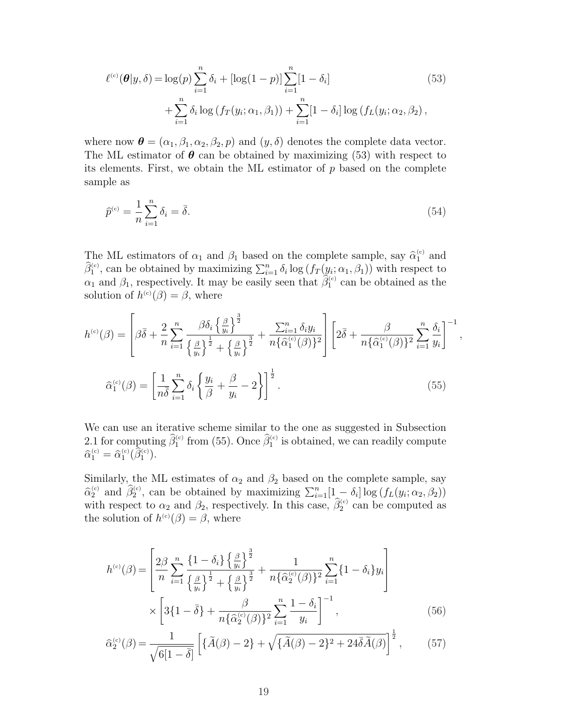$$
\ell^{(c)}(\theta|y,\delta) = \log(p) \sum_{i=1}^{n} \delta_i + [\log(1-p)] \sum_{i=1}^{n} [1-\delta_i]
$$
\n
$$
+ \sum_{i=1}^{n} \delta_i \log(f_T(y_i; \alpha_1, \beta_1)) + \sum_{i=1}^{n} [1-\delta_i] \log(f_L(y_i; \alpha_2, \beta_2),
$$
\n(53)

where now  $\boldsymbol{\theta} = (\alpha_1, \beta_1, \alpha_2, \beta_2, p)$  and  $(y, \delta)$  denotes the complete data vector. The ML estimator of  $\theta$  can be obtained by maximizing (53) with respect to its elements. First, we obtain the ML estimator of  $p$  based on the complete sample as

$$
\widehat{p}^{(c)} = \frac{1}{n} \sum_{i=1}^{n} \delta_i = \overline{\delta}.\tag{54}
$$

The ML estimators of  $\alpha_1$  and  $\beta_1$  based on the complete sample, say  $\hat{\alpha}_1^{(c)}$  and  $\hat{\beta}_1^{\text{(c)}}$ , can be obtained by maximizing  $\sum_{i=1}^n \delta_i \log (f_T(y_i; \alpha_1, \beta_1))$  with respect to  $\alpha_1$  and  $\beta_1$ , respectively. It may be easily seen that  $\hat{\beta}_1^{\text{(c)}}$  can be obtained as the solution of  $h^{(c)}(\beta) = \beta$ , where

$$
h^{(c)}(\beta) = \left[\beta\overline{\delta} + \frac{2}{n}\sum_{i=1}^{n} \frac{\beta\delta_i \left\{\frac{\beta}{y_i}\right\}^{\frac{3}{2}}}{\left\{\frac{\beta}{y_i}\right\}^{\frac{1}{2}} + \left\{\frac{\beta}{y_i}\right\}^{\frac{3}{2}}} + \frac{\sum_{i=1}^{n} \delta_i y_i}{n\{\widehat{\alpha}_1^{(c)}(\beta)\}^2}\right] \left[2\overline{\delta} + \frac{\beta}{n\{\widehat{\alpha}_1^{(c)}(\beta)\}^2} \sum_{i=1}^{n} \frac{\delta_i}{y_i}\right]^{-1}
$$

$$
\widehat{\alpha}_1^{(c)}(\beta) = \left[\frac{1}{n\overline{\delta}} \sum_{i=1}^{n} \delta_i \left\{\frac{y_i}{\beta} + \frac{\beta}{y_i} - 2\right\}\right]^{\frac{1}{2}}.
$$
(55)

,

We can use an iterative scheme similar to the one as suggested in Subsection 2.1 for computing  $\widehat{\beta}_1^{\text{(c)}}$  from (55). Once  $\widehat{\beta}_1^{\text{(c)}}$  is obtained, we can readily compute  $\widehat{\alpha}_1^{\text{\tiny (c)}}=\widehat{\alpha}_1^{\text{\tiny (c)}}(\bar{\widehat{\beta}}_1^{\text{\tiny (c)}}).$ 

Similarly, the ML estimates of  $\alpha_2$  and  $\beta_2$  based on the complete sample, say binding, one the estimates of  $\alpha_2$  and  $\beta_2$  based on the estimates sample, say  $\hat{\alpha}_2^{(c)}$  and  $\hat{\beta}_2^{(c)}$ , can be obtained by maximizing  $\sum_{i=1}^n[1-\delta_i]\log(f_L(y_i;\alpha_2,\beta_2))$ with respect to  $\alpha_2$  and  $\beta_2$ , respectively. In this case,  $\hat{\beta}_2^{(c)}$  can be computed as the solution of  $h^{(c)}(\beta) = \beta$ , where

$$
h^{(c)}(\beta) = \left[ \frac{2\beta}{n} \sum_{i=1}^{n} \frac{\left\{1 - \delta_{i}\right\} \left\{\frac{\beta}{y_{i}}\right\}^{\frac{3}{2}}}{\left\{\frac{\beta}{y_{i}}\right\}^{\frac{1}{2}} + \left\{\frac{\beta}{y_{i}}\right\}^{\frac{3}{2}}} + \frac{1}{n\{\hat{\alpha}_{2}^{(c)}(\beta)\}^{2}} \sum_{i=1}^{n} \left\{1 - \delta_{i}\right\} y_{i} \right] \times \left[ 3\{1 - \bar{\delta}\} + \frac{\beta}{n\{\hat{\alpha}_{2}^{(c)}(\beta)\}^{2}} \sum_{i=1}^{n} \frac{1 - \delta_{i}}{y_{i}} \right]^{-1}, \tag{56}
$$

$$
\widehat{\alpha}_2^{(c)}(\beta) = \frac{1}{\sqrt{6[1-\bar{\delta}]}} \left[ \{ \widetilde{A}(\beta) - 2 \} + \sqrt{\{\widetilde{A}(\beta) - 2 \}^2 + 24 \bar{\delta} \widetilde{A}(\beta)} \right]^{\frac{1}{2}},\tag{57}
$$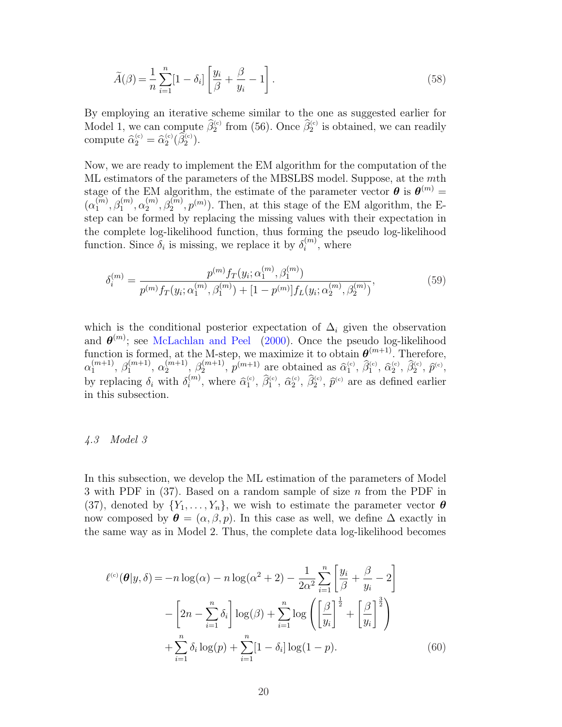$$
\widetilde{A}(\beta) = \frac{1}{n} \sum_{i=1}^{n} [1 - \delta_i] \left[ \frac{y_i}{\beta} + \frac{\beta}{y_i} - 1 \right].
$$
\n(58)

By employing an iterative scheme similar to the one as suggested earlier for Model 1, we can compute  $\widehat{\beta}_2^{\text{(c)}}$  from (56). Once  $\widehat{\beta}_2^{\text{(c)}}$  is obtained, we can readily compute  $\widehat{\alpha}_2^{(c)} = \widehat{\alpha}_2^{(c)}(\widehat{\beta}_2^{(c)})$ .

Now, we are ready to implement the EM algorithm for the computation of the ML estimators of the parameters of the MBSLBS model. Suppose, at the mth stage of the EM algorithm, the estimate of the parameter vector  $\boldsymbol{\theta}$  is  $\boldsymbol{\theta}^{(m)}$  =  $(\alpha_1^{(m)}$  $\binom{\widetilde{m}}{1}, \beta_1^{(m)}, \alpha_2^{(m)}$  $\mathcal{L}_2^{(m)}, \mathcal{L}_2^{(m)}, p^{(m)}$ ). Then, at this stage of the EM algorithm, the Estep can be formed by replacing the missing values with their expectation in the complete log-likelihood function, thus forming the pseudo log-likelihood function. Since  $\delta_i$  is missing, we replace it by  $\delta_i^{(m)}$  $i^{(m)}$ , where

$$
\delta_i^{(m)} = \frac{p^{(m)} f_T(y_i; \alpha_1^{(m)}, \beta_1^{(m)})}{p^{(m)} f_T(y_i; \alpha_1^{(m)}, \beta_1^{(m)}) + [1 - p^{(m)}] f_L(y_i; \alpha_2^{(m)}, \beta_2^{(m)})},\tag{59}
$$

which is the conditional posterior expectation of  $\Delta_i$  given the observation and  $\boldsymbol{\theta}^{(m)}$ ; see McLachlan and Peel (2000). Once the pseudo log-likelihood function is formed, at the M-step, we maximize it to obtain  $\boldsymbol{\theta}^{(m+1)}$ . Therefore,  $\alpha_1^{(m+1)}$  $\binom{m+1}{1}, \ \beta_1^{(m+1)}$  $\alpha_1^{(m+1)}, \alpha_2^{(m+1)}$  $\binom{(m+1)}{2}, \ \beta_2^{(m+1)}$  $p^{(m+1)}$ ,  $p^{(m+1)}$  are obtained as  $\hat{\alpha}_1^{(c)}$ ,  $\hat{\beta}_1^{(c)}$ ,  $\hat{\alpha}_2^{(c)}$ ,  $\hat{\beta}_2^{(c)}$ ,  $\hat{p}^{(c)}$ , by replacing  $\delta_i$  with  $\delta_i^{(m)}$  $\hat{a}_i^{(m)}$ , where  $\hat{\alpha}_1^{(c)}$ ,  $\hat{\beta}_1^{(c)}$ ,  $\hat{\alpha}_2^{(c)}$ ,  $\hat{\beta}_2^{(c)}$ ,  $\hat{p}^{(c)}$  are as defined earlier in this subsection.

## 4.3 Model 3

In this subsection, we develop the ML estimation of the parameters of Model 3 with PDF in  $(37)$ . Based on a random sample of size n from the PDF in (37), denoted by  $\{Y_1, \ldots, Y_n\}$ , we wish to estimate the parameter vector  $\boldsymbol{\theta}$ now composed by  $\boldsymbol{\theta} = (\alpha, \beta, p)$ . In this case as well, we define  $\Delta$  exactly in the same way as in Model 2. Thus, the complete data log-likelihood becomes

$$
\ell^{(c)}(\boldsymbol{\theta}|y,\delta) = -n \log(\alpha) - n \log(\alpha^2 + 2) - \frac{1}{2\alpha^2} \sum_{i=1}^n \left[ \frac{y_i}{\beta} + \frac{\beta}{y_i} - 2 \right]
$$

$$
- \left[ 2n - \sum_{i=1}^n \delta_i \right] \log(\beta) + \sum_{i=1}^n \log \left( \left[ \frac{\beta}{y_i} \right]^{\frac{1}{2}} + \left[ \frac{\beta}{y_i} \right]^{\frac{3}{2}} \right)
$$

$$
+ \sum_{i=1}^n \delta_i \log(p) + \sum_{i=1}^n [1 - \delta_i] \log(1 - p). \tag{60}
$$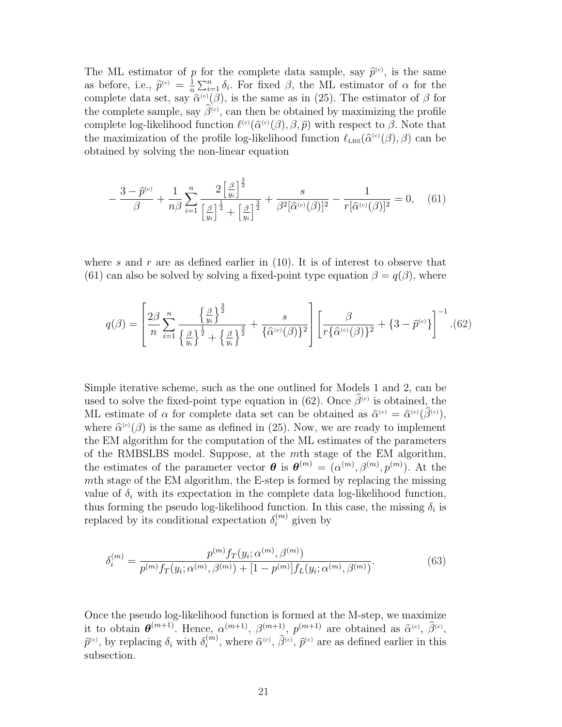The ML estimator of p for the complete data sample, say  $\hat{p}^{\text{(c)}}$ , is the same as before, i.e.,  $\hat{p}^{(c)} = \frac{1}{n}$ n  $\Sigma_{i=1}^n \delta_i$ . For fixed β, the ML estimator of α for the complete data set, say  $\hat{\alpha}^{(c)}(\beta)$ , is the same as in (25). The estimator of  $\beta$  for the complete sample, say  $\hat{\beta}^{(c)}$ , can then be obtained by maximizing the profile complete log-likelihood function  $\ell^{(c)}(\hat{\alpha}^{(c)}(\beta), \beta, \hat{p})$  with respect to  $\beta$ . Note that the maximization of the profile log-likelihood function  $\ell_{\text{LBS}}(\hat{\alpha}^{(c)}(\beta), \beta)$  can be obtained by solving the non-linear equation

$$
-\frac{3-\hat{p}^{(c)}}{\beta} + \frac{1}{n\beta} \sum_{i=1}^{n} \frac{2\left[\frac{\beta}{y_i}\right]^{\frac{3}{2}}}{\left[\frac{\beta}{y_i}\right]^{\frac{1}{2}} + \left[\frac{\beta}{y_i}\right]^{\frac{3}{2}}} + \frac{s}{\beta^2[\hat{\alpha}^{(c)}(\beta)]^2} - \frac{1}{r[\hat{\alpha}^{(c)}(\beta)]^2} = 0, \quad (61)
$$

where s and r are as defined earlier in  $(10)$ . It is of interest to observe that (61) can also be solved by solving a fixed-point type equation  $\beta = q(\beta)$ , where

$$
q(\beta) = \left[ \frac{2\beta}{n} \sum_{i=1}^{n} \frac{\left\{ \frac{\beta}{y_i} \right\}^{\frac{3}{2}}}{\left\{ \frac{\beta}{y_i} \right\}^{\frac{1}{2}} + \left\{ \frac{\beta}{y_i} \right\}^{\frac{3}{2}}} + \frac{s}{\left\{ \widehat{\alpha}^{(c)}(\beta) \right\}^2} \right] \left[ \frac{\beta}{r \left\{ \widehat{\alpha}^{(c)}(\beta) \right\}^2 + \left\{ 3 - \widehat{p}^{(c)} \right\} \right]^{-1} . (62)
$$

Simple iterative scheme, such as the one outlined for Models 1 and 2, can be used to solve the fixed-point type equation in (62). Once  $\hat{\beta}^{(c)}$  is obtained, the ML estimate of  $\alpha$  for complete data set can be obtained as  $\hat{\alpha}^{(c)} = \hat{\alpha}^{(c)}(\hat{\beta}^{(c)})$ , where  $\hat{\alpha}^{(c)}(\beta)$  is the same as defined in (25). Now, we are ready to implement the EM algorithm for the computation of the ML estimates of the parameters of the RMBSLBS model. Suppose, at the mth stage of the EM algorithm, the estimates of the parameter vector  $\boldsymbol{\theta}$  is  $\boldsymbol{\theta}^{(m)} = (\alpha^{(m)}, \beta^{(m)}, p^{(m)})$ . At the mth stage of the EM algorithm, the E-step is formed by replacing the missing value of  $\delta_i$  with its expectation in the complete data log-likelihood function, thus forming the pseudo log-likelihood function. In this case, the missing  $\delta_i$  is replaced by its conditional expectation  $\delta_i^{(m)}$  given by

$$
\delta_i^{(m)} = \frac{p^{(m)} f_T(y_i; \alpha^{(m)}, \beta^{(m)})}{p^{(m)} f_T(y_i; \alpha^{(m)}, \beta^{(m)}) + [1 - p^{(m)}] f_L(y_i; \alpha^{(m)}, \beta^{(m)})}.
$$
(63)

Once the pseudo log-likelihood function is formed at the M-step, we maximize it to obtain  $\boldsymbol{\theta}^{(m+1)}$ . Hence,  $\alpha^{(m+1)}$ ,  $\beta^{(m+1)}$ ,  $p^{(m+1)}$  are obtained as  $\widehat{\alpha}^{(c)}$ ,  $\widehat{\beta}^{(c)}$ ,  $\widehat{p}^{\text{(c)}},$  by replacing  $\delta_i$  with  $\delta_i^{(m)}$  $\hat{a}^{(m)}$ , where  $\hat{\alpha}^{(c)}$ ,  $\hat{\beta}^{(c)}$ ,  $\hat{p}^{(c)}$  are as defined earlier in this subsection.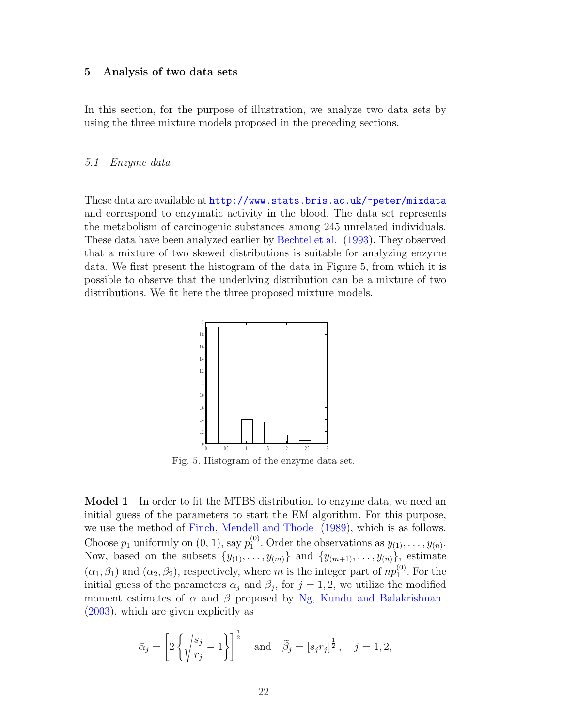#### 5 Analysis of two data sets

In this section, for the purpose of illustration, we analyze two data sets by using the three mixture models proposed in the preceding sections.

# 5.1 Enzyme data

These data are available at http://www.stats.bris.ac.uk/~peter/mixdata and correspond to enzymatic activity in the blood. The data set represents the metabolism of carcinogenic substances among 245 unrelated individuals. These data have been analyzed earlier by Bechtel et al. (1993). They observed that a mixture of two skewed distributions is suitable for analyzing enzyme data. We first present the histogram of the data in Figure 5, from which it is possible to observe that the underlying distribution can be a mixture of two distributions. We fit here the three proposed mixture models.



Fig. 5. Histogram of the enzyme data set.

Model 1 In order to fit the MTBS distribution to enzyme data, we need an initial guess of the parameters to start the EM algorithm. For this purpose, we use the method of Finch, Mendell and Thode (1989), which is as follows. Choose  $p_1$  uniformly on  $(0, 1)$ , say  $p_1^{(0)}$  $y_1^{(0)}$ . Order the observations as  $y_{(1)}, \ldots, y_{(n)}$ . Now, based on the subsets  $\{y_{(1)}, \ldots, y_{(m)}\}$  and  $\{y_{(m+1)}, \ldots, y_{(n)}\}$ , estimate  $(\alpha_1, \beta_1)$  and  $(\alpha_2, \beta_2)$ , respectively, where m is the integer part of  $np_1^{(0)}$  $_1^{(0)}$ . For the initial guess of the parameters  $\alpha_j$  and  $\beta_j$ , for  $j = 1, 2$ , we utilize the modified moment estimates of  $\alpha$  and  $\beta$  proposed by Ng, Kundu and Balakrishnan (2003), which are given explicitly as

$$
\tilde{\alpha}_j = \left[2\left\{\sqrt{\frac{s_j}{r_j}} - 1\right\}\right]^{\frac{1}{2}}
$$
 and  $\tilde{\beta}_j = [s_j r_j]^{\frac{1}{2}}$ ,  $j = 1, 2$ ,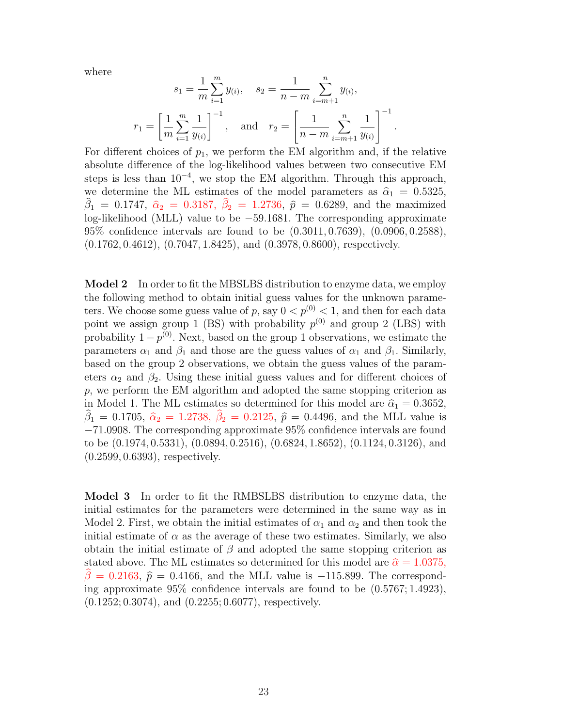where

$$
s_1 = \frac{1}{m} \sum_{i=1}^m y_{(i)}, \quad s_2 = \frac{1}{n-m} \sum_{i=m+1}^n y_{(i)},
$$
  

$$
r_1 = \left[ \frac{1}{m} \sum_{i=1}^m \frac{1}{y_{(i)}} \right]^{-1}, \quad \text{and} \quad r_2 = \left[ \frac{1}{n-m} \sum_{i=m+1}^n \frac{1}{y_{(i)}} \right]^{-1}.
$$

For different choices of  $p_1$ , we perform the EM algorithm and, if the relative absolute difference of the log-likelihood values between two consecutive EM steps is less than  $10^{-4}$ , we stop the EM algorithm. Through this approach, we determine the ML estimates of the model parameters as  $\hat{\alpha}_1 = 0.5325$ ,  $\hat{\beta}_1 = 0.1747, \ \hat{\alpha}_2 = 0.3187, \ \hat{\beta}_2 = 1.2736, \ \hat{p} = 0.6289, \text{ and the maximized}$ log-likelihood (MLL) value to be −59.1681. The corresponding approximate 95% confidence intervals are found to be (0.3011, 0.7639), (0.0906, 0.2588), (0.1762, 0.4612), (0.7047, 1.8425), and (0.3978, 0.8600), respectively.

Model 2 In order to fit the MBSLBS distribution to enzyme data, we employ the following method to obtain initial guess values for the unknown parameters. We choose some guess value of p, say  $0 < p^{(0)} < 1$ , and then for each data point we assign group 1 (BS) with probability  $p^{(0)}$  and group 2 (LBS) with probability  $1-p^{(0)}$ . Next, based on the group 1 observations, we estimate the parameters  $\alpha_1$  and  $\beta_1$  and those are the guess values of  $\alpha_1$  and  $\beta_1$ . Similarly, based on the group 2 observations, we obtain the guess values of the parameters  $\alpha_2$  and  $\beta_2$ . Using these initial guess values and for different choices of p, we perform the EM algorithm and adopted the same stopping criterion as in Model 1. The ML estimates so determined for this model are  $\hat{\alpha}_1 = 0.3652$ ,  $\hat{\beta}_1 = 0.1705, \ \hat{\alpha}_2 = 1.2738, \ \hat{\beta}_2 = 0.2125, \ \hat{p} = 0.4496, \text{ and the MLL value is}$ −71.0908. The corresponding approximate 95% confidence intervals are found to be (0.1974, 0.5331), (0.0894, 0.2516), (0.6824, 1.8652), (0.1124, 0.3126), and (0.2599, 0.6393), respectively.

Model 3 In order to fit the RMBSLBS distribution to enzyme data, the initial estimates for the parameters were determined in the same way as in Model 2. First, we obtain the initial estimates of  $\alpha_1$  and  $\alpha_2$  and then took the initial estimate of  $\alpha$  as the average of these two estimates. Similarly, we also obtain the initial estimate of  $\beta$  and adopted the same stopping criterion as stated above. The ML estimates so determined for this model are  $\hat{\alpha} = 1.0375$ ,  $\beta = 0.2163$ ,  $\hat{p} = 0.4166$ , and the MLL value is −115.899. The corresponding approximate 95% confidence intervals are found to be (0.5767; 1.4923), (0.1252; 0.3074), and (0.2255; 0.6077), respectively.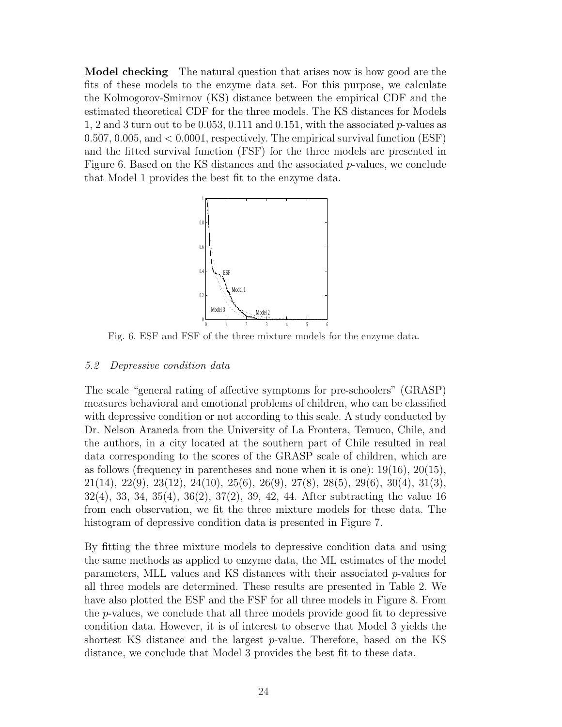Model checking The natural question that arises now is how good are the fits of these models to the enzyme data set. For this purpose, we calculate the Kolmogorov-Smirnov (KS) distance between the empirical CDF and the estimated theoretical CDF for the three models. The KS distances for Models 1, 2 and 3 turn out to be 0.053, 0.111 and 0.151, with the associated p-values as 0.507, 0.005, and < 0.0001, respectively. The empirical survival function (ESF) and the fitted survival function (FSF) for the three models are presented in Figure 6. Based on the KS distances and the associated  $p$ -values, we conclude that Model 1 provides the best fit to the enzyme data.



Fig. 6. ESF and FSF of the three mixture models for the enzyme data.

# 5.2 Depressive condition data

The scale "general rating of affective symptoms for pre-schoolers" (GRASP) measures behavioral and emotional problems of children, who can be classified with depressive condition or not according to this scale. A study conducted by Dr. Nelson Araneda from the University of La Frontera, Temuco, Chile, and the authors, in a city located at the southern part of Chile resulted in real data corresponding to the scores of the GRASP scale of children, which are as follows (frequency in parentheses and none when it is one):  $19(16)$ ,  $20(15)$ , 21(14), 22(9), 23(12), 24(10), 25(6), 26(9), 27(8), 28(5), 29(6), 30(4), 31(3), 32(4), 33, 34, 35(4), 36(2), 37(2), 39, 42, 44. After subtracting the value 16 from each observation, we fit the three mixture models for these data. The histogram of depressive condition data is presented in Figure 7.

By fitting the three mixture models to depressive condition data and using the same methods as applied to enzyme data, the ML estimates of the model parameters, MLL values and KS distances with their associated p-values for all three models are determined. These results are presented in Table 2. We have also plotted the ESF and the FSF for all three models in Figure 8. From the  $p$ -values, we conclude that all three models provide good fit to depressive condition data. However, it is of interest to observe that Model 3 yields the shortest KS distance and the largest p-value. Therefore, based on the KS distance, we conclude that Model 3 provides the best fit to these data.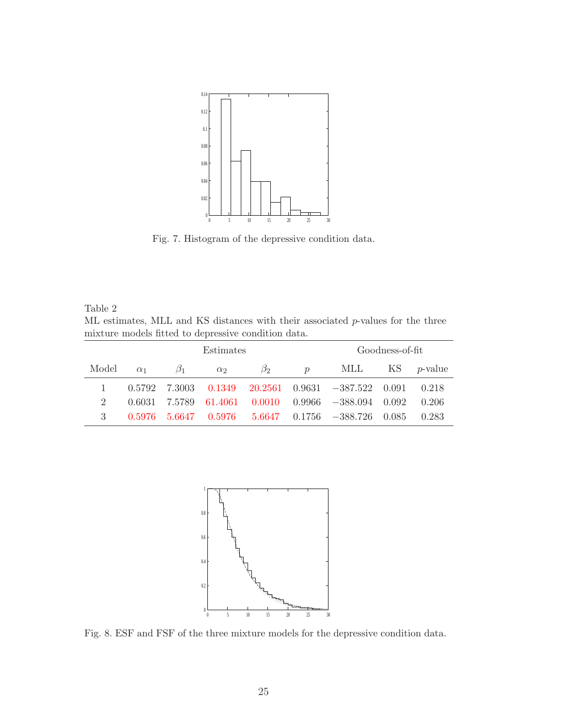

Fig. 7. Histogram of the depressive condition data.

Table 2 ML estimates, MLL and KS distances with their associated p-values for the three mixture models fitted to depressive condition data.

|       |            |               | Goodness-of-fit |           |               |                                                        |    |                 |
|-------|------------|---------------|-----------------|-----------|---------------|--------------------------------------------------------|----|-----------------|
| Model | $\alpha_1$ | $\beta_1$     | $\alpha_2$      | $\beta_2$ | $\mathcal{D}$ | MLL                                                    | KS | <i>p</i> -value |
|       |            | 0.5792 7.3003 |                 |           |               | $0.1349$ $20.2561$ $0.9631$ $-387.522$ $0.091$ $0.218$ |    |                 |
|       | 0.6031     | 7.5789        | 61.4061         |           |               | $0.0010$ $0.9966$ $-388.094$ $0.092$                   |    | 0.206           |
|       | 0.5976     |               |                 |           |               | $5.6647$ $0.5976$ $5.6647$ $0.1756$ $-388.726$ $0.085$ |    | 0.283           |



Fig. 8. ESF and FSF of the three mixture models for the depressive condition data.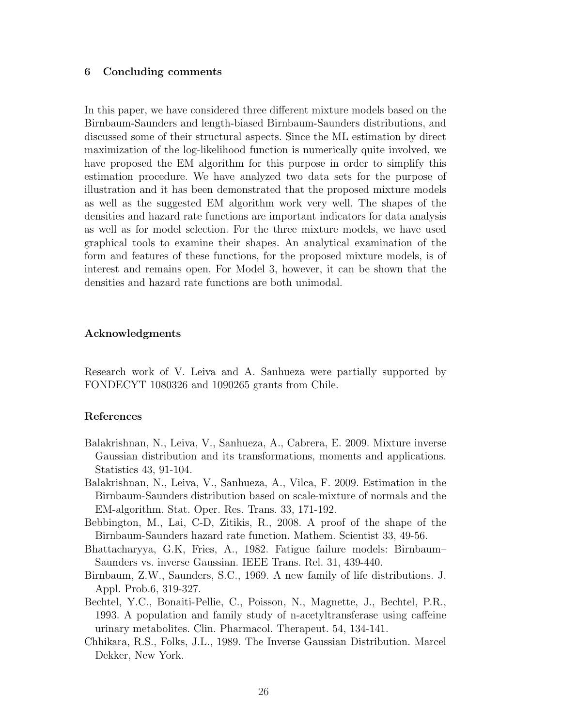# 6 Concluding comments

In this paper, we have considered three different mixture models based on the Birnbaum-Saunders and length-biased Birnbaum-Saunders distributions, and discussed some of their structural aspects. Since the ML estimation by direct maximization of the log-likelihood function is numerically quite involved, we have proposed the EM algorithm for this purpose in order to simplify this estimation procedure. We have analyzed two data sets for the purpose of illustration and it has been demonstrated that the proposed mixture models as well as the suggested EM algorithm work very well. The shapes of the densities and hazard rate functions are important indicators for data analysis as well as for model selection. For the three mixture models, we have used graphical tools to examine their shapes. An analytical examination of the form and features of these functions, for the proposed mixture models, is of interest and remains open. For Model 3, however, it can be shown that the densities and hazard rate functions are both unimodal.

# Acknowledgments

Research work of V. Leiva and A. Sanhueza were partially supported by FONDECYT 1080326 and 1090265 grants from Chile.

## References

- Balakrishnan, N., Leiva, V., Sanhueza, A., Cabrera, E. 2009. Mixture inverse Gaussian distribution and its transformations, moments and applications. Statistics 43, 91-104.
- Balakrishnan, N., Leiva, V., Sanhueza, A., Vilca, F. 2009. Estimation in the Birnbaum-Saunders distribution based on scale-mixture of normals and the EM-algorithm. Stat. Oper. Res. Trans. 33, 171-192.
- Bebbington, M., Lai, C-D, Zitikis, R., 2008. A proof of the shape of the Birnbaum-Saunders hazard rate function. Mathem. Scientist 33, 49-56.
- Bhattacharyya, G.K, Fries, A., 1982. Fatigue failure models: Birnbaum– Saunders vs. inverse Gaussian. IEEE Trans. Rel. 31, 439-440.
- Birnbaum, Z.W., Saunders, S.C., 1969. A new family of life distributions. J. Appl. Prob.6, 319-327.
- Bechtel, Y.C., Bonaiti-Pellie, C., Poisson, N., Magnette, J., Bechtel, P.R., 1993. A population and family study of n-acetyltransferase using caffeine urinary metabolites. Clin. Pharmacol. Therapeut. 54, 134-141.
- Chhikara, R.S., Folks, J.L., 1989. The Inverse Gaussian Distribution. Marcel Dekker, New York.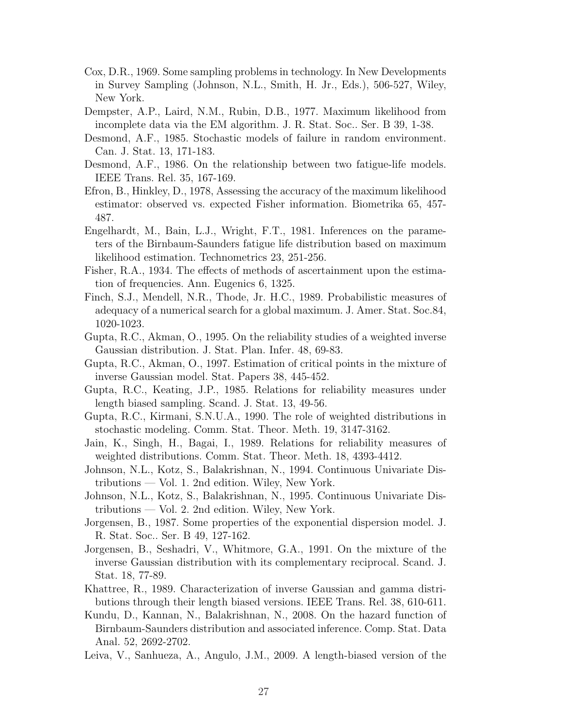- Cox, D.R., 1969. Some sampling problems in technology. In New Developments in Survey Sampling (Johnson, N.L., Smith, H. Jr., Eds.), 506-527, Wiley, New York.
- Dempster, A.P., Laird, N.M., Rubin, D.B., 1977. Maximum likelihood from incomplete data via the EM algorithm. J. R. Stat. Soc.. Ser. B 39, 1-38.
- Desmond, A.F., 1985. Stochastic models of failure in random environment. Can. J. Stat. 13, 171-183.
- Desmond, A.F., 1986. On the relationship between two fatigue-life models. IEEE Trans. Rel. 35, 167-169.
- Efron, B., Hinkley, D., 1978, Assessing the accuracy of the maximum likelihood estimator: observed vs. expected Fisher information. Biometrika 65, 457- 487.
- Engelhardt, M., Bain, L.J., Wright, F.T., 1981. Inferences on the parameters of the Birnbaum-Saunders fatigue life distribution based on maximum likelihood estimation. Technometrics 23, 251-256.
- Fisher, R.A., 1934. The effects of methods of ascertainment upon the estimation of frequencies. Ann. Eugenics 6, 1325.
- Finch, S.J., Mendell, N.R., Thode, Jr. H.C., 1989. Probabilistic measures of adequacy of a numerical search for a global maximum. J. Amer. Stat. Soc.84, 1020-1023.
- Gupta, R.C., Akman, O., 1995. On the reliability studies of a weighted inverse Gaussian distribution. J. Stat. Plan. Infer. 48, 69-83.
- Gupta, R.C., Akman, O., 1997. Estimation of critical points in the mixture of inverse Gaussian model. Stat. Papers 38, 445-452.
- Gupta, R.C., Keating, J.P., 1985. Relations for reliability measures under length biased sampling. Scand. J. Stat. 13, 49-56.
- Gupta, R.C., Kirmani, S.N.U.A., 1990. The role of weighted distributions in stochastic modeling. Comm. Stat. Theor. Meth. 19, 3147-3162.
- Jain, K., Singh, H., Bagai, I., 1989. Relations for reliability measures of weighted distributions. Comm. Stat. Theor. Meth. 18, 4393-4412.
- Johnson, N.L., Kotz, S., Balakrishnan, N., 1994. Continuous Univariate Distributions — Vol. 1. 2nd edition. Wiley, New York.
- Johnson, N.L., Kotz, S., Balakrishnan, N., 1995. Continuous Univariate Distributions — Vol. 2. 2nd edition. Wiley, New York.
- Jorgensen, B., 1987. Some properties of the exponential dispersion model. J. R. Stat. Soc.. Ser. B 49, 127-162.
- Jorgensen, B., Seshadri, V., Whitmore, G.A., 1991. On the mixture of the inverse Gaussian distribution with its complementary reciprocal. Scand. J. Stat. 18, 77-89.
- Khattree, R., 1989. Characterization of inverse Gaussian and gamma distributions through their length biased versions. IEEE Trans. Rel. 38, 610-611.
- Kundu, D., Kannan, N., Balakrishnan, N., 2008. On the hazard function of Birnbaum-Saunders distribution and associated inference. Comp. Stat. Data Anal. 52, 2692-2702.
- Leiva, V., Sanhueza, A., Angulo, J.M., 2009. A length-biased version of the